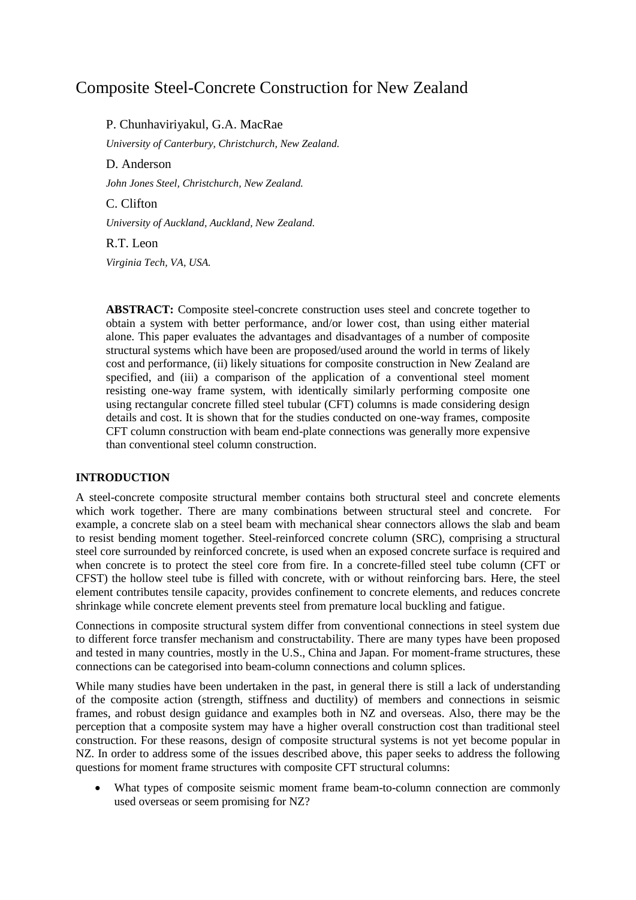# Composite Steel-Concrete Construction for New Zealand

P. Chunhaviriyakul, G.A. MacRae *University of Canterbury, Christchurch, New Zealand.* D. Anderson *John Jones Steel, Christchurch, New Zealand.* C. Clifton *University of Auckland, Auckland, New Zealand.* R.T. Leon

*Virginia Tech, VA, USA.*

**ABSTRACT:** Composite steel-concrete construction uses steel and concrete together to obtain a system with better performance, and/or lower cost, than using either material alone. This paper evaluates the advantages and disadvantages of a number of composite structural systems which have been are proposed/used around the world in terms of likely cost and performance, (ii) likely situations for composite construction in New Zealand are specified, and (iii) a comparison of the application of a conventional steel moment resisting one-way frame system, with identically similarly performing composite one using rectangular concrete filled steel tubular (CFT) columns is made considering design details and cost. It is shown that for the studies conducted on one-way frames, composite CFT column construction with beam end-plate connections was generally more expensive than conventional steel column construction.

### **INTRODUCTION**

A steel-concrete composite structural member contains both structural steel and concrete elements which work together. There are many combinations between structural steel and concrete. For example, a concrete slab on a steel beam with mechanical shear connectors allows the slab and beam to resist bending moment together. Steel-reinforced concrete column (SRC), comprising a structural steel core surrounded by reinforced concrete, is used when an exposed concrete surface is required and when concrete is to protect the steel core from fire. In a concrete-filled steel tube column (CFT or CFST) the hollow steel tube is filled with concrete, with or without reinforcing bars. Here, the steel element contributes tensile capacity, provides confinement to concrete elements, and reduces concrete shrinkage while concrete element prevents steel from premature local buckling and fatigue.

Connections in composite structural system differ from conventional connections in steel system due to different force transfer mechanism and constructability. There are many types have been proposed and tested in many countries, mostly in the U.S., China and Japan. For moment-frame structures, these connections can be categorised into beam-column connections and column splices.

While many studies have been undertaken in the past, in general there is still a lack of understanding of the composite action (strength, stiffness and ductility) of members and connections in seismic frames, and robust design guidance and examples both in NZ and overseas. Also, there may be the perception that a composite system may have a higher overall construction cost than traditional steel construction. For these reasons, design of composite structural systems is not yet become popular in NZ. In order to address some of the issues described above, this paper seeks to address the following questions for moment frame structures with composite CFT structural columns:

 What types of composite seismic moment frame beam-to-column connection are commonly used overseas or seem promising for NZ?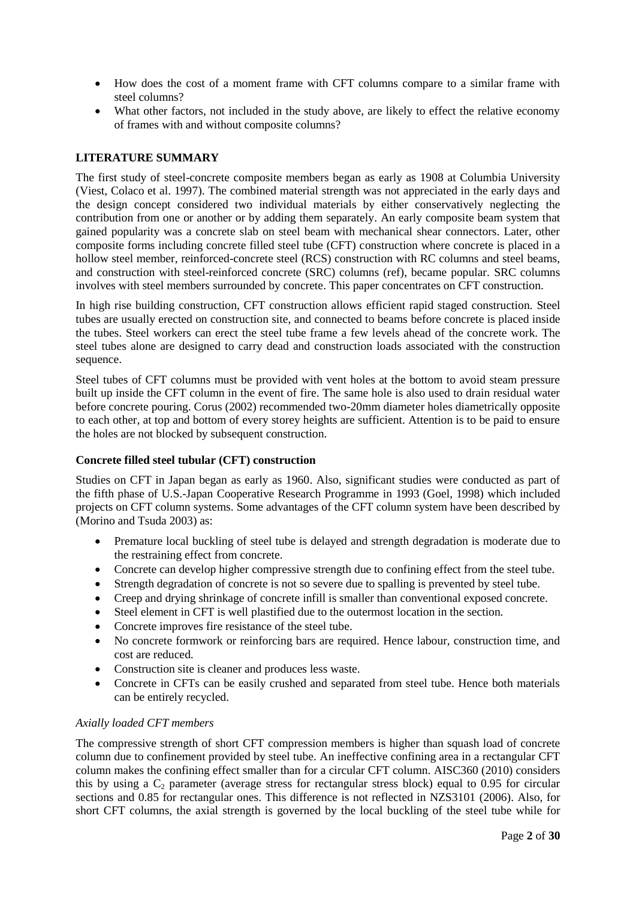- How does the cost of a moment frame with CFT columns compare to a similar frame with steel columns?
- What other factors, not included in the study above, are likely to effect the relative economy of frames with and without composite columns?

### **LITERATURE SUMMARY**

The first study of steel-concrete composite members began as early as 1908 at Columbia University [\(Viest, Colaco et al. 1997\)](#page-29-0). The combined material strength was not appreciated in the early days and the design concept considered two individual materials by either conservatively neglecting the contribution from one or another or by adding them separately. An early composite beam system that gained popularity was a concrete slab on steel beam with mechanical shear connectors. Later, other composite forms including concrete filled steel tube (CFT) construction where concrete is placed in a hollow steel member, reinforced-concrete steel (RCS) construction with RC columns and steel beams, and construction with steel-reinforced concrete (SRC) columns (ref), became popular. SRC columns involves with steel members surrounded by concrete. This paper concentrates on CFT construction.

In high rise building construction, CFT construction allows efficient rapid staged construction. Steel tubes are usually erected on construction site, and connected to beams before concrete is placed inside the tubes. Steel workers can erect the steel tube frame a few levels ahead of the concrete work. The steel tubes alone are designed to carry dead and construction loads associated with the construction sequence.

Steel tubes of CFT columns must be provided with vent holes at the bottom to avoid steam pressure built up inside the CFT column in the event of fire. The same hole is also used to drain residual water before concrete pouring. Corus (2002) recommended two-20mm diameter holes diametrically opposite to each other, at top and bottom of every storey heights are sufficient. Attention is to be paid to ensure the holes are not blocked by subsequent construction.

### **Concrete filled steel tubular (CFT) construction**

Studies on CFT in Japan began as early as 1960. Also, significant studies were conducted as part of the fifth phase of U.S.-Japan Cooperative Research Programme in 1993 (Goel, 1998) which included projects on CFT column systems. Some advantages of the CFT column system have been described by [\(Morino and Tsuda 2003\)](#page-29-1) as:

- Premature local buckling of steel tube is delayed and strength degradation is moderate due to the restraining effect from concrete.
- Concrete can develop higher compressive strength due to confining effect from the steel tube.
- Strength degradation of concrete is not so severe due to spalling is prevented by steel tube.
- Creep and drying shrinkage of concrete infill is smaller than conventional exposed concrete.
- Steel element in CFT is well plastified due to the outermost location in the section.
- Concrete improves fire resistance of the steel tube.
- No concrete formwork or reinforcing bars are required. Hence labour, construction time, and cost are reduced.
- Construction site is cleaner and produces less waste.
- Concrete in CFTs can be easily crushed and separated from steel tube. Hence both materials can be entirely recycled.

### *Axially loaded CFT members*

The compressive strength of short CFT compression members is higher than squash load of concrete column due to confinement provided by steel tube. An ineffective confining area in a rectangular CFT column makes the confining effect smaller than for a circular CFT column. AISC360 (2010) considers this by using a  $C_2$  parameter (average stress for rectangular stress block) equal to 0.95 for circular sections and 0.85 for rectangular ones. This difference is not reflected in NZS3101 (2006). Also, for short CFT columns, the axial strength is governed by the local buckling of the steel tube while for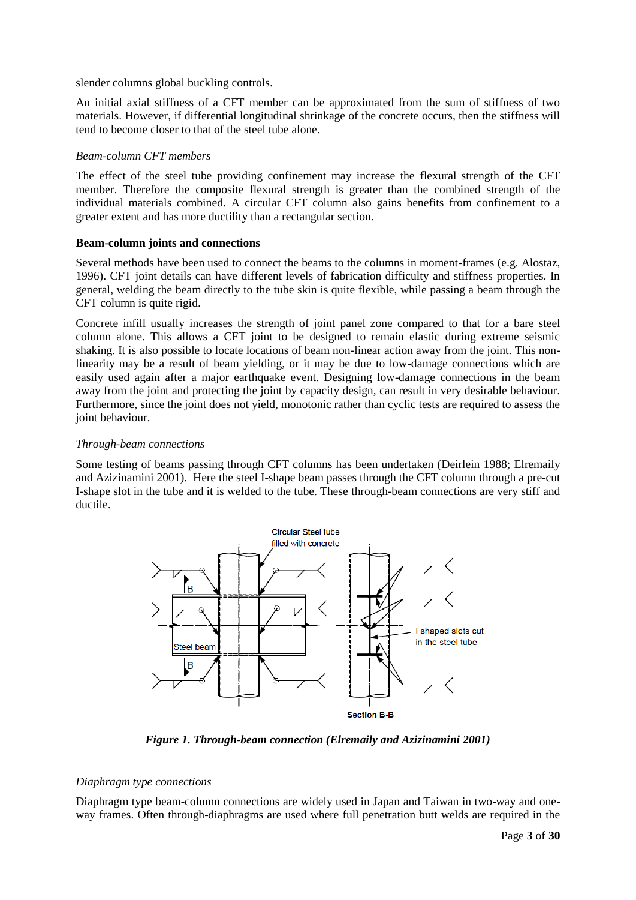slender columns global buckling controls.

An initial axial stiffness of a CFT member can be approximated from the sum of stiffness of two materials. However, if differential longitudinal shrinkage of the concrete occurs, then the stiffness will tend to become closer to that of the steel tube alone.

### *Beam-column CFT members*

The effect of the steel tube providing confinement may increase the flexural strength of the CFT member. Therefore the composite flexural strength is greater than the combined strength of the individual materials combined. A circular CFT column also gains benefits from confinement to a greater extent and has more ductility than a rectangular section.

### **Beam-column joints and connections**

Several methods have been used to connect the beams to the columns in moment-frames (e.g. Alostaz, 1996). CFT joint details can have different levels of fabrication difficulty and stiffness properties. In general, welding the beam directly to the tube skin is quite flexible, while passing a beam through the CFT column is quite rigid.

Concrete infill usually increases the strength of joint panel zone compared to that for a bare steel column alone. This allows a CFT joint to be designed to remain elastic during extreme seismic shaking. It is also possible to locate locations of beam non-linear action away from the joint. This nonlinearity may be a result of beam yielding, or it may be due to low-damage connections which are easily used again after a major earthquake event. Designing low-damage connections in the beam away from the joint and protecting the joint by capacity design, can result in very desirable behaviour. Furthermore, since the joint does not yield, monotonic rather than cyclic tests are required to assess the joint behaviour.

## *Through-beam connections*

Some testing of beams passing through CFT columns has been undertaken (Deirlein 1988; Elremaily and Azizinamini 2001). Here the steel I-shape beam passes through the CFT column through a pre-cut I-shape slot in the tube and it is welded to the tube. These through-beam connections are very stiff and ductile.



*Figure 1. Through-beam connection [\(Elremaily and Azizinamini 2001\)](#page-29-2)*

# *Diaphragm type connections*

Diaphragm type beam-column connections are widely used in Japan and Taiwan in two-way and oneway frames. Often through-diaphragms are used where full penetration butt welds are required in the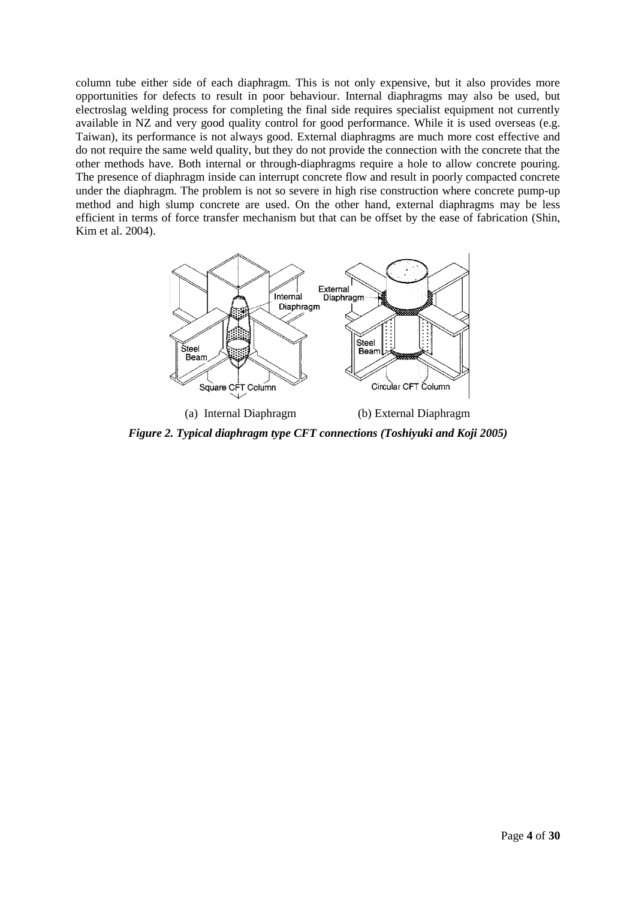column tube either side of each diaphragm. This is not only expensive, but it also provides more opportunities for defects to result in poor behaviour. Internal diaphragms may also be used, but electroslag welding process for completing the final side requires specialist equipment not currently available in NZ and very good quality control for good performance. While it is used overseas (e.g. Taiwan), its performance is not always good. External diaphragms are much more cost effective and do not require the same weld quality, but they do not provide the connection with the concrete that the other methods have. Both internal or through-diaphragms require a hole to allow concrete pouring. The presence of diaphragm inside can interrupt concrete flow and result in poorly compacted concrete under the diaphragm. The problem is not so severe in high rise construction where concrete pump-up method and high slump concrete are used. On the other hand, external diaphragms may be less efficient in terms of force transfer mechanism but that can be offset by the ease of fabrication [\(Shin,](#page-29-3)  [Kim et al. 2004\)](#page-29-3).



*Figure 2. Typical diaphragm type CFT connections [\(Toshiyuki and Koji 2005\)](#page-29-4)*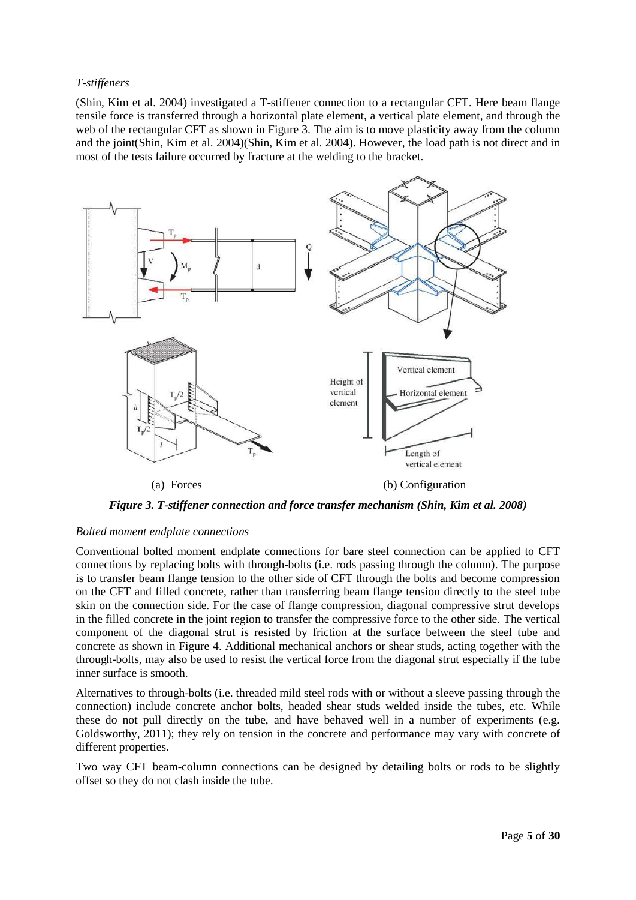### *T-stiffeners*

[\(Shin, Kim et al. 2004\)](#page-29-3) investigated a T-stiffener connection to a rectangular CFT. Here beam flange tensile force is transferred through a horizontal plate element, a vertical plate element, and through the web of the rectangular CFT as shown in [Figure 3.](#page-4-0) The aim is to move plasticity away from the column and the joint[\(Shin, Kim et al. 2004\)\(Shin, Kim et al. 2004\)](#page-29-3). However, the load path is not direct and in most of the tests failure occurred by fracture at the welding to the bracket.



*Figure 3. T-stiffener connection and force transfer mechanism [\(Shin, Kim et al. 2008\)](#page-29-5)*

### <span id="page-4-0"></span>*Bolted moment endplate connections*

Conventional bolted moment endplate connections for bare steel connection can be applied to CFT connections by replacing bolts with through-bolts (i.e. rods passing through the column). The purpose is to transfer beam flange tension to the other side of CFT through the bolts and become compression on the CFT and filled concrete, rather than transferring beam flange tension directly to the steel tube skin on the connection side. For the case of flange compression, diagonal compressive strut develops in the filled concrete in the joint region to transfer the compressive force to the other side. The vertical component of the diagonal strut is resisted by friction at the surface between the steel tube and concrete as shown in Figure 4. Additional mechanical anchors or shear studs, acting together with the through-bolts, may also be used to resist the vertical force from the diagonal strut especially if the tube inner surface is smooth.

Alternatives to through-bolts (i.e. threaded mild steel rods with or without a sleeve passing through the connection) include concrete anchor bolts, headed shear studs welded inside the tubes, etc. While these do not pull directly on the tube, and have behaved well in a number of experiments (e.g. Goldsworthy, 2011); they rely on tension in the concrete and performance may vary with concrete of different properties.

Two way CFT beam-column connections can be designed by detailing bolts or rods to be slightly offset so they do not clash inside the tube.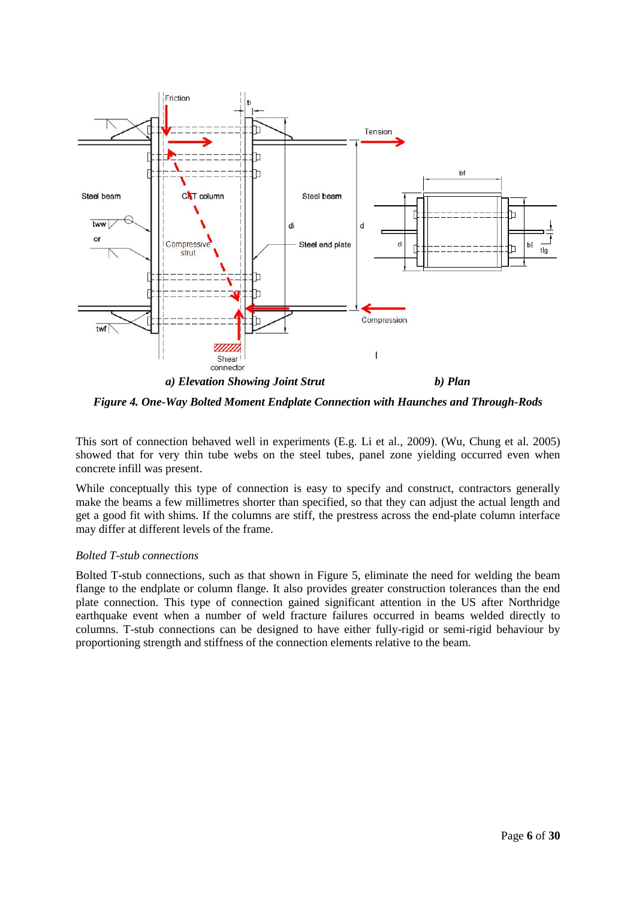

*Figure 4. One-Way Bolted Moment Endplate Connection with Haunches and Through-Rods*

This sort of connection behaved well in experiments (E.g. Li et al., 2009). [\(Wu, Chung et al. 2005\)](#page-29-6) showed that for very thin tube webs on the steel tubes, panel zone yielding occurred even when concrete infill was present.

While conceptually this type of connection is easy to specify and construct, contractors generally make the beams a few millimetres shorter than specified, so that they can adjust the actual length and get a good fit with shims. If the columns are stiff, the prestress across the end-plate column interface may differ at different levels of the frame.

### *Bolted T-stub connections*

Bolted T-stub connections, such as that shown in Figure 5, eliminate the need for welding the beam flange to the endplate or column flange. It also provides greater construction tolerances than the end plate connection. This type of connection gained significant attention in the US after Northridge earthquake event when a number of weld fracture failures occurred in beams welded directly to columns. T-stub connections can be designed to have either fully-rigid or semi-rigid behaviour by proportioning strength and stiffness of the connection elements relative to the beam.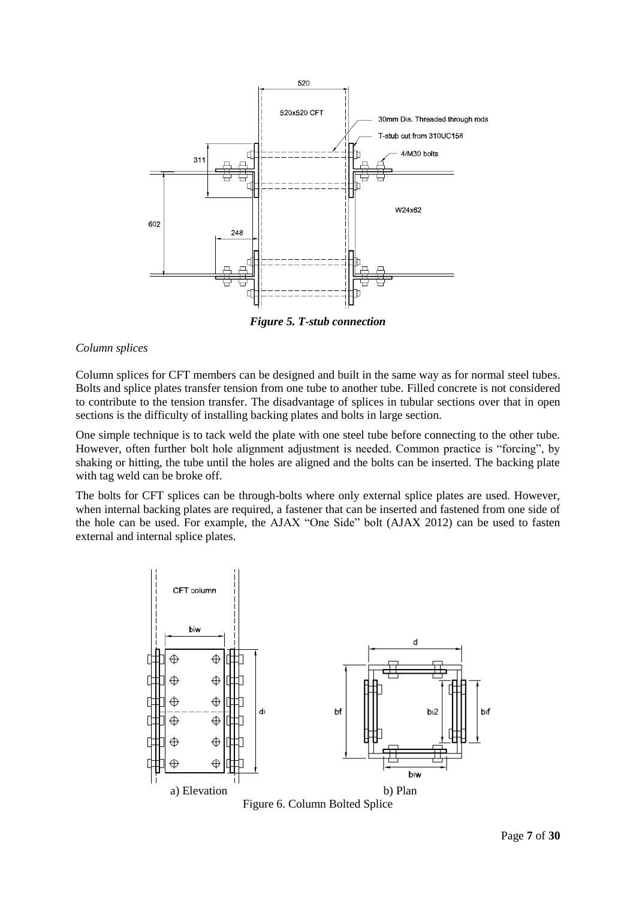

*Figure 5. T-stub connection*

#### *Column splices*

Column splices for CFT members can be designed and built in the same way as for normal steel tubes. Bolts and splice plates transfer tension from one tube to another tube. Filled concrete is not considered to contribute to the tension transfer. The disadvantage of splices in tubular sections over that in open sections is the difficulty of installing backing plates and bolts in large section.

One simple technique is to tack weld the plate with one steel tube before connecting to the other tube. However, often further bolt hole alignment adjustment is needed. Common practice is "forcing", by shaking or hitting, the tube until the holes are aligned and the bolts can be inserted. The backing plate with tag weld can be broke off.

The bolts for CFT splices can be through-bolts where only external splice plates are used. However, when internal backing plates are required, a fastener that can be inserted and fastened from one side of the hole can be used. For example, the AJAX "One Side" bolt (AJAX 2012) can be used to fasten external and internal splice plates.



Figure 6. Column Bolted Splice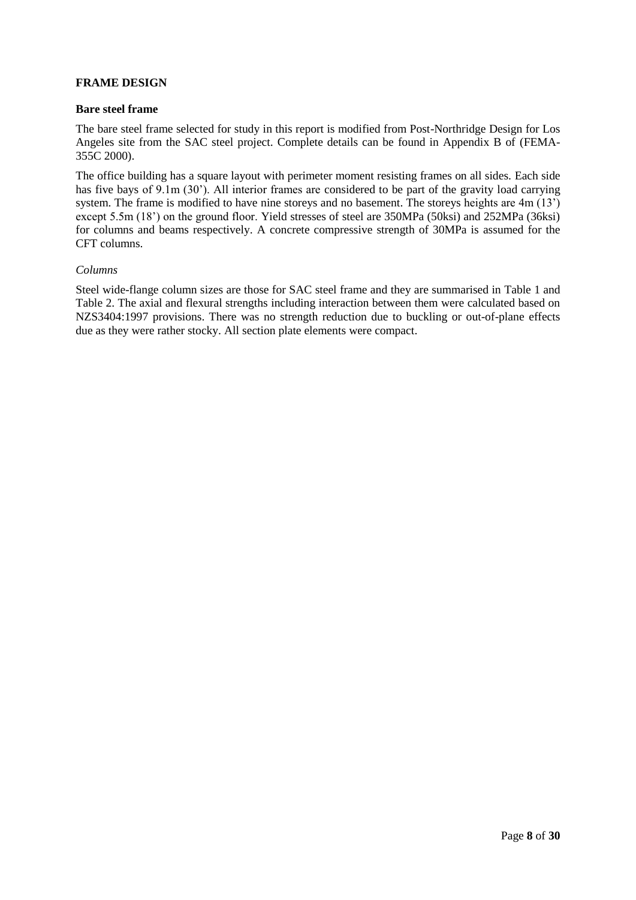## **FRAME DESIGN**

#### **Bare steel frame**

The bare steel frame selected for study in this report is modified from Post-Northridge Design for Los Angeles site from the SAC steel project. Complete details can be found in Appendix B of [\(FEMA-](#page-29-7)[355C 2000\)](#page-29-7).

The office building has a square layout with perimeter moment resisting frames on all sides. Each side has five bays of 9.1m (30'). All interior frames are considered to be part of the gravity load carrying system. The frame is modified to have nine storeys and no basement. The storeys heights are 4m (13') except 5.5m (18') on the ground floor. Yield stresses of steel are 350MPa (50ksi) and 252MPa (36ksi) for columns and beams respectively. A concrete compressive strength of 30MPa is assumed for the CFT columns.

#### *Columns*

Steel wide-flange column sizes are those for SAC steel frame and they are summarised in [Table 1](#page-8-0) and [Table 2.](#page-8-1) The axial and flexural strengths including interaction between them were calculated based on NZS3404:1997 provisions. There was no strength reduction due to buckling or out-of-plane effects due as they were rather stocky. All section plate elements were compact.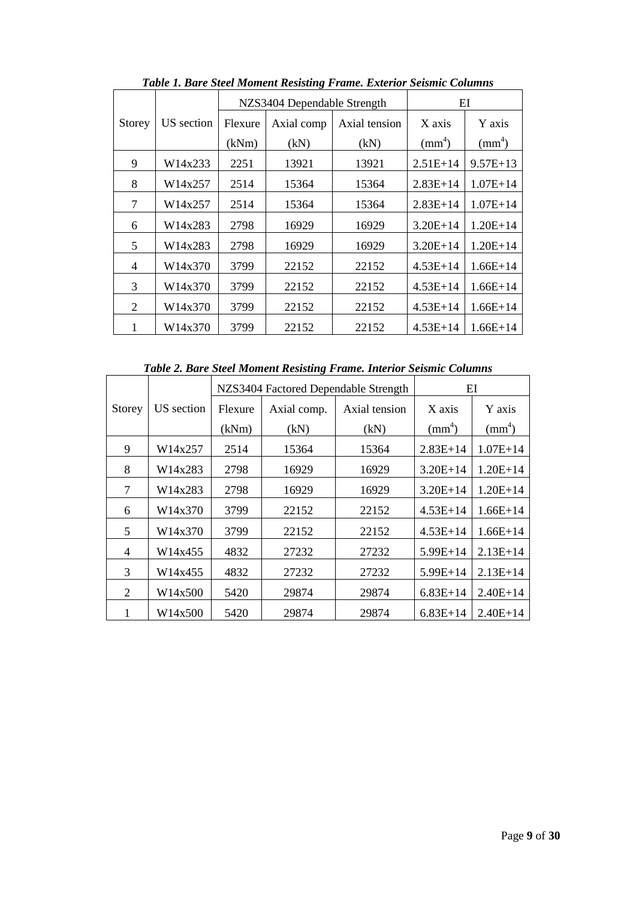<span id="page-8-0"></span>

|        |            |         | NZS3404 Dependable Strength | EI            |              |              |
|--------|------------|---------|-----------------------------|---------------|--------------|--------------|
| Storey | US section | Flexure | Axial comp                  | Axial tension | X axis       | Y axis       |
|        |            | (kNm)   | (kN)                        | (kN)          | $\text{m}^4$ | $\text{m}^4$ |
| 9      | W14x233    | 2251    | 13921                       | 13921         | $2.51E+14$   | $9.57E+13$   |
| 8      | W14x257    | 2514    | 15364                       | 15364         | $2.83E+14$   | $1.07E + 14$ |
| 7      | W14x257    | 2514    | 15364                       | 15364         | $2.83E+14$   | $1.07E + 14$ |
| 6      | W14x283    | 2798    | 16929                       | 16929         | $3.20E + 14$ | $1.20E+14$   |
| 5      | W14x283    | 2798    | 16929                       | 16929         | $3.20E+14$   | $1.20E+14$   |
| 4      | W14x370    | 3799    | 22152                       | 22152         | $4.53E+14$   | $1.66E+14$   |
| 3      | W14x370    | 3799    | 22152                       | 22152         | $4.53E+14$   | $1.66E+14$   |
| 2      | W14x370    | 3799    | 22152                       | 22152         | $4.53E+14$   | $1.66E+14$   |
|        | W14x370    | 3799    | 22152                       | 22152         | $4.53E+14$   | $1.66E+14$   |

*Table 1. Bare Steel Moment Resisting Frame. Exterior Seismic Columns*

*Table 2. Bare Steel Moment Resisting Frame. Interior Seismic Columns*

<span id="page-8-1"></span>

|        |            |         | NZS3404 Factored Dependable Strength | EI            |                 |              |
|--------|------------|---------|--------------------------------------|---------------|-----------------|--------------|
| Storey | US section | Flexure | Axial comp.                          | Axial tension | X axis          | Y axis       |
|        |            | (kNm)   | (kN)                                 | (kN)          | $\text{mm}^4$ ) | $\text{m}^4$ |
| 9      | W14x257    | 2514    | 15364                                | 15364         | $2.83E+14$      | $1.07E+14$   |
| 8      | W14x283    | 2798    | 16929                                | 16929         | $3.20E+14$      | $1.20E + 14$ |
| 7      | W14x283    | 2798    | 16929                                | 16929         | $3.20E+14$      | $1.20E+14$   |
| 6      | W14x370    | 3799    | 22152                                | 22152         | $4.53E+14$      | $1.66E+14$   |
| 5      | W14x370    | 3799    | 22152                                | 22152         | $4.53E+14$      | $1.66E+14$   |
| 4      | W14x455    | 4832    | 27232                                | 27232         | $5.99E+14$      | $2.13E+14$   |
| 3      | W14x455    | 4832    | 27232                                | 27232         | 5.99E+14        | $2.13E+14$   |
| 2      | W14x500    | 5420    | 29874                                | 29874         | $6.83E+14$      | $2.40E+14$   |
| 1      | W14x500    | 5420    | 29874                                | 29874         | $6.83E+14$      | $2.40E+14$   |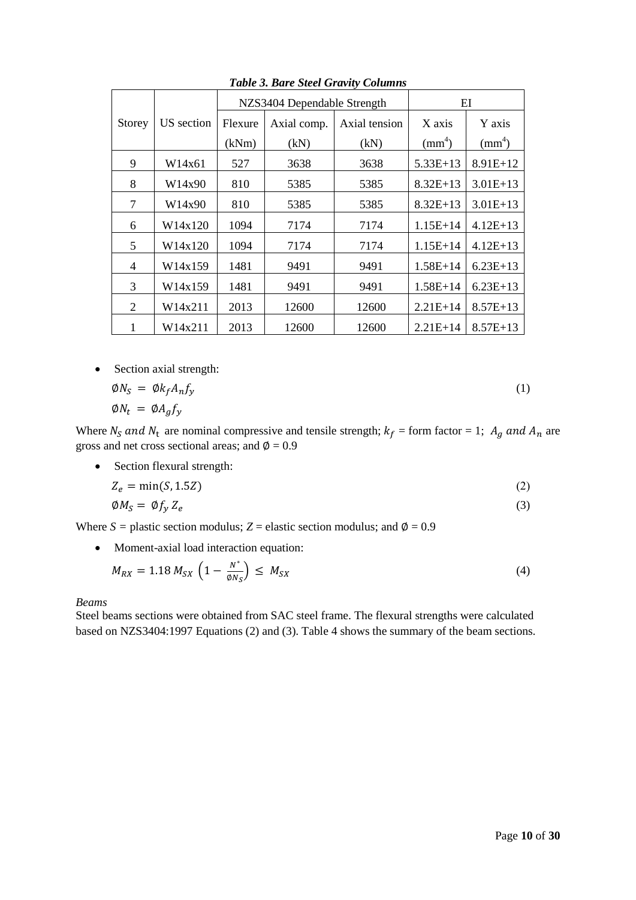|               |            |         | NZS3404 Dependable Strength |               |                 | EI              |  |  |
|---------------|------------|---------|-----------------------------|---------------|-----------------|-----------------|--|--|
| <b>Storey</b> | US section | Flexure | Axial comp.                 | Axial tension | X axis          | Y axis          |  |  |
|               |            | (kNm)   | (kN)                        | (kN)          | $\text{mm}^4$ ) | $\text{mm}^4$ ) |  |  |
| 9             | W14x61     | 527     | 3638                        | 3638          | $5.33E+13$      | $8.91E+12$      |  |  |
| 8             | W14x90     | 810     | 5385                        | 5385          | $8.32E+13$      | $3.01E+13$      |  |  |
| 7             | W14x90     | 810     | 5385                        | 5385          | $8.32E+13$      | $3.01E+13$      |  |  |
| 6             | W14x120    | 1094    | 7174                        | 7174          | $1.15E+14$      | $4.12E+13$      |  |  |
| 5             | W14x120    | 1094    | 7174                        | 7174          | $1.15E+14$      | $4.12E+13$      |  |  |
| 4             | W14x159    | 1481    | 9491                        | 9491          | $1.58E+14$      | $6.23E+13$      |  |  |
| 3             | W14x159    | 1481    | 9491                        | 9491          | $1.58E+14$      | $6.23E+13$      |  |  |
| 2             | W14x211    | 2013    | 12600                       | 12600         | $2.21E+14$      | $8.57E+13$      |  |  |
| 1             | W14x211    | 2013    | 12600                       | 12600         | $2.21E+14$      | $8.57E+13$      |  |  |

*Table 3. Bare Steel Gravity Columns*

• Section axial strength:

$$
\begin{aligned}\n\emptyset N_S &= \emptyset k_f A_n f_y \\
\emptyset N_t &= \emptyset A_g f_y\n\end{aligned} \tag{1}
$$

Where  $N_S$  and  $N_t$  are nominal compressive and tensile strength;  $k_f$  = form factor = 1;  $A_g$  and  $A_n$  are gross and net cross sectional areas; and  $\phi = 0.9$ 

Section flexural strength:

$$
Z_e = \min(S, 1.5Z) \tag{2}
$$

$$
\emptyset M_S = \emptyset f_y Z_e \tag{3}
$$

Where  $S =$  plastic section modulus;  $Z =$  elastic section modulus; and  $\phi = 0.9$ 

Moment-axial load interaction equation:

$$
M_{RX} = 1.18 M_{SX} \left( 1 - \frac{N^*}{\phi N_S} \right) \le M_{SX}
$$
 (4)

### *Beams*

Steel beams sections were obtained from SAC steel frame. The flexural strengths were calculated based on NZS3404:1997 Equations (2) and (3). [Table 4](#page-10-0) shows the summary of the beam sections.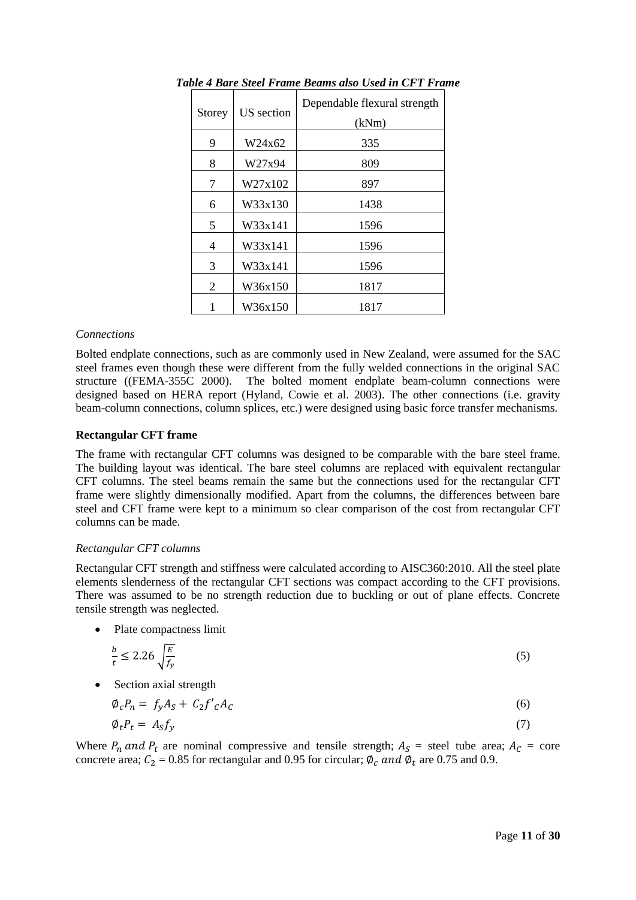|        |            | Dependable flexural strength |  |  |  |
|--------|------------|------------------------------|--|--|--|
| Storey | US section | (kNm)                        |  |  |  |
| 9      | W24x62     | 335                          |  |  |  |
| 8      | W27x94     | 809                          |  |  |  |
| 7      | W27x102    | 897                          |  |  |  |
| 6      | W33x130    | 1438                         |  |  |  |
| 5      | W33x141    | 1596                         |  |  |  |
| 4      | W33x141    | 1596                         |  |  |  |
| 3      | W33x141    | 1596                         |  |  |  |
| 2      | W36x150    | 1817                         |  |  |  |
|        | W36x150    | 1817                         |  |  |  |

<span id="page-10-0"></span>*Table 4 Bare Steel Frame Beams also Used in CFT Frame*

#### *Connections*

Bolted endplate connections, such as are commonly used in New Zealand, were assumed for the SAC steel frames even though these were different from the fully welded connections in the original SAC structure ([\(FEMA-355C 2000\)](#page-29-7). The bolted moment endplate beam-column connections were designed based on HERA report [\(Hyland, Cowie et al. 2003\)](#page-29-8). The other connections (i.e. gravity beam-column connections, column splices, etc.) were designed using basic force transfer mechanisms.

#### **Rectangular CFT frame**

The frame with rectangular CFT columns was designed to be comparable with the bare steel frame. The building layout was identical. The bare steel columns are replaced with equivalent rectangular CFT columns. The steel beams remain the same but the connections used for the rectangular CFT frame were slightly dimensionally modified. Apart from the columns, the differences between bare steel and CFT frame were kept to a minimum so clear comparison of the cost from rectangular CFT columns can be made.

### *Rectangular CFT columns*

Rectangular CFT strength and stiffness were calculated according to AISC360:2010. All the steel plate elements slenderness of the rectangular CFT sections was compact according to the CFT provisions. There was assumed to be no strength reduction due to buckling or out of plane effects. Concrete tensile strength was neglected.

• Plate compactness limit

$$
\frac{b}{t} \le 2.26 \sqrt{\frac{E}{f_y}}
$$
\n<sup>(5)</sup>

• Section axial strength

$$
\varphi_c P_n = f_y A_S + C_2 f'_{c} A_c \tag{6}
$$

$$
\varphi_t P_t = A_S f_y \tag{7}
$$

Where  $P_n$  and  $P_t$  are nominal compressive and tensile strength;  $A_s$  = steel tube area;  $A_c$  = core concrete area;  $C_2 = 0.85$  for rectangular and 0.95 for circular;  $\phi_c$  and  $\phi_t$  are 0.75 and 0.9.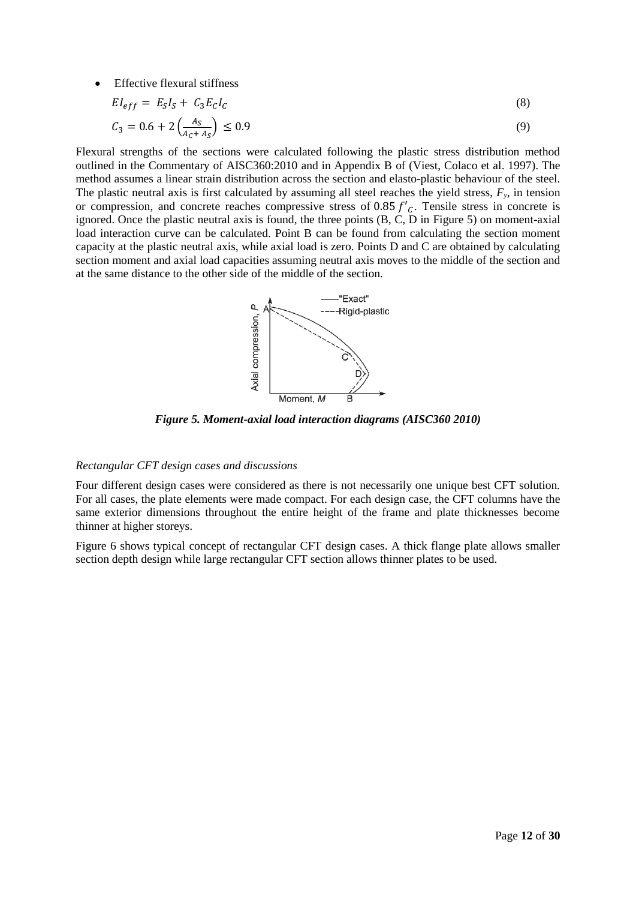Effective flexural stiffness

$$
EI_{eff} = E_S I_S + C_3 E_C I_C \tag{8}
$$

$$
C_3 = 0.6 + 2\left(\frac{A_S}{A_C + A_S}\right) \le 0.9\tag{9}
$$

Flexural strengths of the sections were calculated following the plastic stress distribution method outlined in the Commentary of AISC360:2010 and in Appendix B of [\(Viest, Colaco et al. 1997\)](#page-29-0). The method assumes a linear strain distribution across the section and elasto-plastic behaviour of the steel. The plastic neutral axis is first calculated by assuming all steel reaches the yield stress,  $F_y$ , in tension or compression, and concrete reaches compressive stress of 0.85  $f'_{c}$ . Tensile stress in concrete is ignored. Once the plastic neutral axis is found, the three points (B, C, D in [Figure 5\)](#page-11-0) on moment-axial load interaction curve can be calculated. Point B can be found from calculating the section moment capacity at the plastic neutral axis, while axial load is zero. Points D and C are obtained by calculating section moment and axial load capacities assuming neutral axis moves to the middle of the section and at the same distance to the other side of the middle of the section.



*Figure 5. Moment-axial load interaction diagrams [\(AISC360 2010\)](#page-29-9)*

#### <span id="page-11-0"></span>*Rectangular CFT design cases and discussions*

Four different design cases were considered as there is not necessarily one unique best CFT solution. For all cases, the plate elements were made compact. For each design case, the CFT columns have the same exterior dimensions throughout the entire height of the frame and plate thicknesses become thinner at higher storeys.

[Figure 6](#page-12-0) shows typical concept of rectangular CFT design cases. A thick flange plate allows smaller section depth design while large rectangular CFT section allows thinner plates to be used.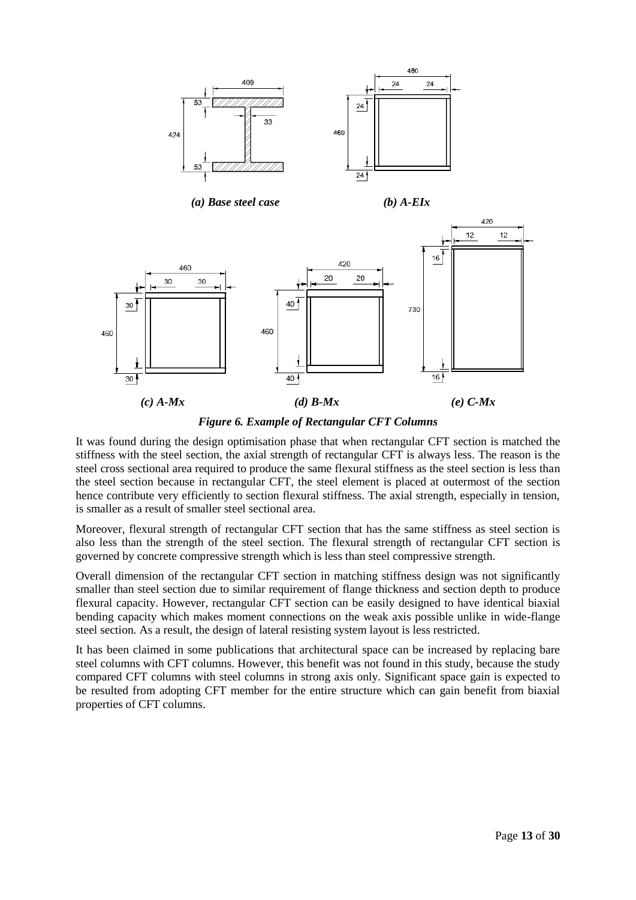

*Figure 6. Example of Rectangular CFT Columns*

<span id="page-12-0"></span>It was found during the design optimisation phase that when rectangular CFT section is matched the stiffness with the steel section, the axial strength of rectangular CFT is always less. The reason is the steel cross sectional area required to produce the same flexural stiffness as the steel section is less than the steel section because in rectangular CFT, the steel element is placed at outermost of the section hence contribute very efficiently to section flexural stiffness. The axial strength, especially in tension, is smaller as a result of smaller steel sectional area.

Moreover, flexural strength of rectangular CFT section that has the same stiffness as steel section is also less than the strength of the steel section. The flexural strength of rectangular CFT section is governed by concrete compressive strength which is less than steel compressive strength.

Overall dimension of the rectangular CFT section in matching stiffness design was not significantly smaller than steel section due to similar requirement of flange thickness and section depth to produce flexural capacity. However, rectangular CFT section can be easily designed to have identical biaxial bending capacity which makes moment connections on the weak axis possible unlike in wide-flange steel section. As a result, the design of lateral resisting system layout is less restricted.

It has been claimed in some publications that architectural space can be increased by replacing bare steel columns with CFT columns. However, this benefit was not found in this study, because the study compared CFT columns with steel columns in strong axis only. Significant space gain is expected to be resulted from adopting CFT member for the entire structure which can gain benefit from biaxial properties of CFT columns.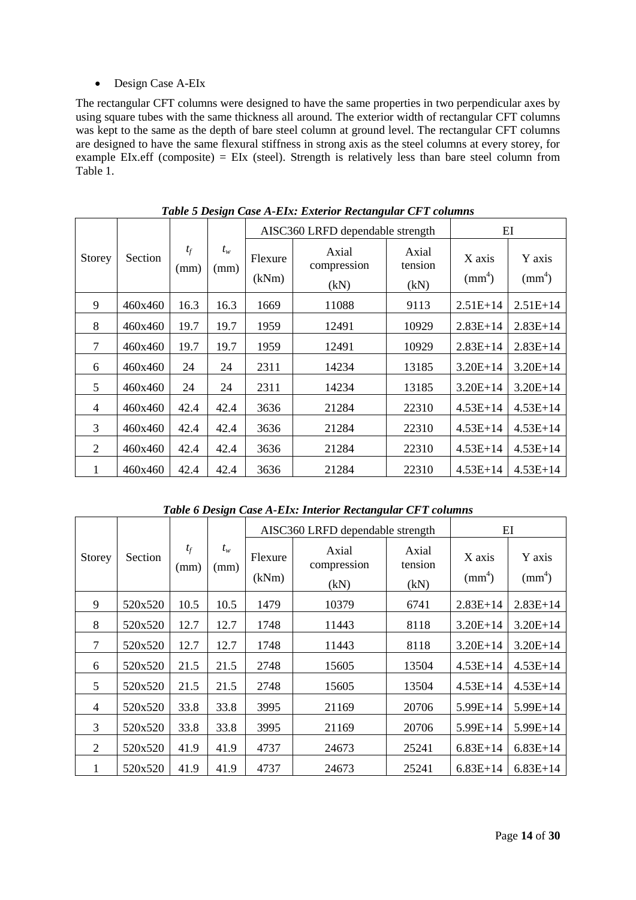### • Design Case A-EIx

The rectangular CFT columns were designed to have the same properties in two perpendicular axes by using square tubes with the same thickness all around. The exterior width of rectangular CFT columns was kept to the same as the depth of bare steel column at ground level. The rectangular CFT columns are designed to have the same flexural stiffness in strong axis as the steel columns at every storey, for example EIx.eff (composite) = EIx (steel). Strength is relatively less than bare steel column from [Table 1.](#page-8-0)

|                |         |               |                 |                  | AISC360 LRFD dependable strength | EI                       |                           |                        |
|----------------|---------|---------------|-----------------|------------------|----------------------------------|--------------------------|---------------------------|------------------------|
| Storey         | Section | $t_f$<br>(mm) | $t_{w}$<br>(mm) | Flexure<br>(kNm) | Axial<br>compression<br>(kN)     | Axial<br>tension<br>(kN) | X axis<br>$\text{mm}^4$ ) | Y axis<br>$\text{m}^4$ |
| 9              | 460x460 | 16.3          | 16.3            | 1669             | 11088                            | 9113                     | $2.51E+14$                | $2.51E+14$             |
| 8              | 460x460 | 19.7          | 19.7            | 1959             | 12491                            | 10929                    | $2.83E+14$                | $2.83E+14$             |
| 7              | 460x460 | 19.7          | 19.7            | 1959             | 12491                            | 10929                    | $2.83E+14$                | $2.83E+14$             |
| 6              | 460x460 | 24            | 24              | 2311             | 14234                            | 13185                    | $3.20E + 14$              | $3.20E + 14$           |
| 5              | 460x460 | 24            | 24              | 2311             | 14234                            | 13185                    | $3.20E + 14$              | $3.20E + 14$           |
| $\overline{4}$ | 460x460 | 42.4          | 42.4            | 3636             | 21284                            | 22310                    | $4.53E+14$                | $4.53E+14$             |
| 3              | 460x460 | 42.4          | 42.4            | 3636             | 21284                            | 22310                    | $4.53E+14$                | $4.53E+14$             |
| 2              | 460x460 | 42.4          | 42.4            | 3636             | 21284                            | 22310                    | $4.53E+14$                | $4.53E+14$             |
| 1              | 460x460 | 42.4          | 42.4            | 3636             | 21284                            | 22310                    | $4.53E+14$                | $4.53E+14$             |

*Table 5 Design Case A-EIx: Exterior Rectangular CFT columns*

*Table 6 Design Case A-EIx: Interior Rectangular CFT columns*

|                |         |               |               |                  | AISC360 LRFD dependable strength |                          |                           | EI                     |
|----------------|---------|---------------|---------------|------------------|----------------------------------|--------------------------|---------------------------|------------------------|
| Storey         | Section | $t_f$<br>(mm) | $t_w$<br>(mm) | Flexure<br>(kNm) | Axial<br>compression<br>(kN)     | Axial<br>tension<br>(kN) | X axis<br>$\text{mm}^4$ ) | Y axis<br>$\text{m}^4$ |
| 9              | 520x520 | 10.5          | 10.5          | 1479             | 10379                            | 6741                     | $2.83E+14$                | $2.83E+14$             |
| 8              | 520x520 | 12.7          | 12.7          | 1748             | 11443                            | 8118                     | $3.20E+14$                | $3.20E+14$             |
| 7              | 520x520 | 12.7          | 12.7          | 1748             | 11443                            | 8118                     | $3.20E+14$                | $3.20E+14$             |
| 6              | 520x520 | 21.5          | 21.5          | 2748             | 15605                            | 13504                    | $4.53E+14$                | $4.53E+14$             |
| 5              | 520x520 | 21.5          | 21.5          | 2748             | 15605                            | 13504                    | $4.53E+14$                | $4.53E+14$             |
| $\overline{4}$ | 520x520 | 33.8          | 33.8          | 3995             | 21169                            | 20706                    | $5.99E+14$                | $5.99E+14$             |
| 3              | 520x520 | 33.8          | 33.8          | 3995             | 21169                            | 20706                    | $5.99E+14$                | $5.99E+14$             |
| $\overline{2}$ | 520x520 | 41.9          | 41.9          | 4737             | 24673                            | 25241                    | $6.83E+14$                | $6.83E+14$             |
| 1              | 520x520 | 41.9          | 41.9          | 4737             | 24673                            | 25241                    | $6.83E+14$                | $6.83E+14$             |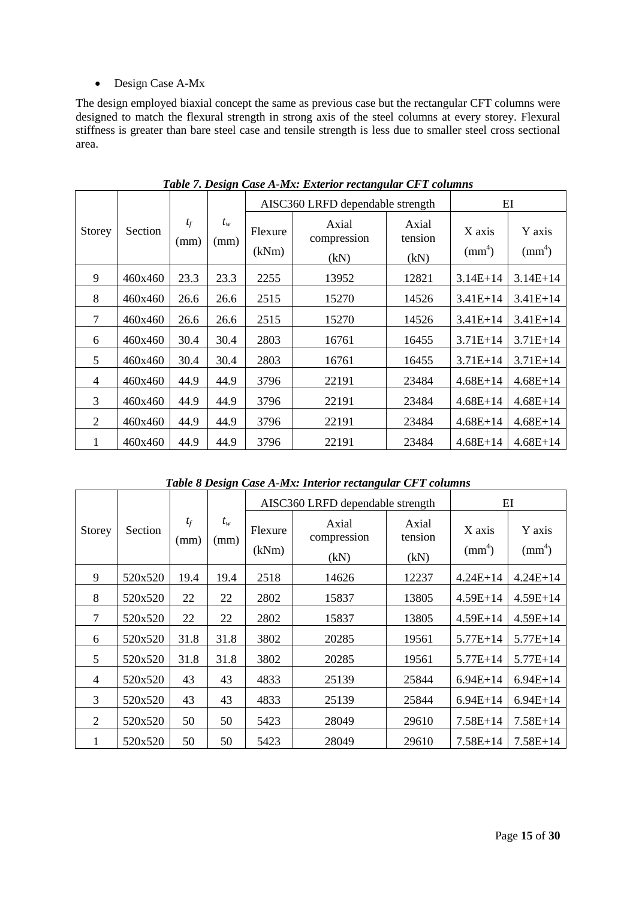# Design Case A-Mx

The design employed biaxial concept the same as previous case but the rectangular CFT columns were designed to match the flexural strength in strong axis of the steel columns at every storey. Flexural stiffness is greater than bare steel case and tensile strength is less due to smaller steel cross sectional area.

|                |         |               |               |                  | AISC360 LRFD dependable strength |                          |                           | EI                     |
|----------------|---------|---------------|---------------|------------------|----------------------------------|--------------------------|---------------------------|------------------------|
| Storey         | Section | $t_f$<br>(mm) | $t_w$<br>(mm) | Flexure<br>(kNm) | Axial<br>compression<br>(kN)     | Axial<br>tension<br>(kN) | X axis<br>$\text{mm}^4$ ) | Y axis<br>$\text{m}^4$ |
| 9              | 460x460 | 23.3          | 23.3          | 2255             | 13952                            | 12821                    | $3.14E+14$                | $3.14E+14$             |
| 8              | 460x460 | 26.6          | 26.6          | 2515             | 15270                            | 14526                    | $3.41E+14$                | $3.41E+14$             |
| 7              | 460x460 | 26.6          | 26.6          | 2515             | 15270                            | 14526                    | $3.41E+14$                | $3.41E+14$             |
| 6              | 460x460 | 30.4          | 30.4          | 2803             | 16761                            | 16455                    | $3.71E+14$                | $3.71E+14$             |
| 5              | 460x460 | 30.4          | 30.4          | 2803             | 16761                            | 16455                    | $3.71E+14$                | $3.71E+14$             |
| $\overline{4}$ | 460x460 | 44.9          | 44.9          | 3796             | 22191                            | 23484                    | $4.68E + 14$              | $4.68E + 14$           |
| 3              | 460x460 | 44.9          | 44.9          | 3796             | 22191                            | 23484                    | $4.68E+14$                | $4.68E+14$             |
| $\overline{2}$ | 460x460 | 44.9          | 44.9          | 3796             | 22191                            | 23484                    | $4.68E+14$                | $4.68E+14$             |
| 1              | 460x460 | 44.9          | 44.9          | 3796             | 22191                            | 23484                    | $4.68E+14$                | $4.68E + 14$           |

*Table 7. Design Case A-Mx: Exterior rectangular CFT columns*

*Table 8 Design Case A-Mx: Interior rectangular CFT columns*

|                |         |               |               |                  | AISC360 LRFD dependable strength |                          |                           | EI                        |
|----------------|---------|---------------|---------------|------------------|----------------------------------|--------------------------|---------------------------|---------------------------|
| Storey         | Section | $t_f$<br>(mm) | $t_w$<br>(mm) | Flexure<br>(kNm) | Axial<br>compression<br>(kN)     | Axial<br>tension<br>(kN) | X axis<br>$\text{mm}^4$ ) | Y axis<br>$\text{mm}^4$ ) |
| 9              | 520x520 | 19.4          | 19.4          | 2518             | 14626                            | 12237                    | $4.24E+14$                | $4.24E+14$                |
| 8              | 520x520 | 22            | 22            | 2802             | 15837                            | 13805                    | $4.59E+14$                | $4.59E+14$                |
| 7              | 520x520 | 22            | 22            | 2802             | 15837                            | 13805                    | $4.59E+14$                | $4.59E+14$                |
| 6              | 520x520 | 31.8          | 31.8          | 3802             | 20285                            | 19561                    | $5.77E + 14$              | $5.77E + 14$              |
| 5              | 520x520 | 31.8          | 31.8          | 3802             | 20285                            | 19561                    | $5.77E + 14$              | $5.77E+14$                |
| $\overline{4}$ | 520x520 | 43            | 43            | 4833             | 25139                            | 25844                    | $6.94E+14$                | $6.94E+14$                |
| 3              | 520x520 | 43            | 43            | 4833             | 25139                            | 25844                    | $6.94E+14$                | $6.94E+14$                |
| $\overline{2}$ | 520x520 | 50            | 50            | 5423             | 28049                            | 29610                    | $7.58E+14$                | $7.58E+14$                |
| 1              | 520x520 | 50            | 50            | 5423             | 28049                            | 29610                    | $7.58E+14$                | $7.58E+14$                |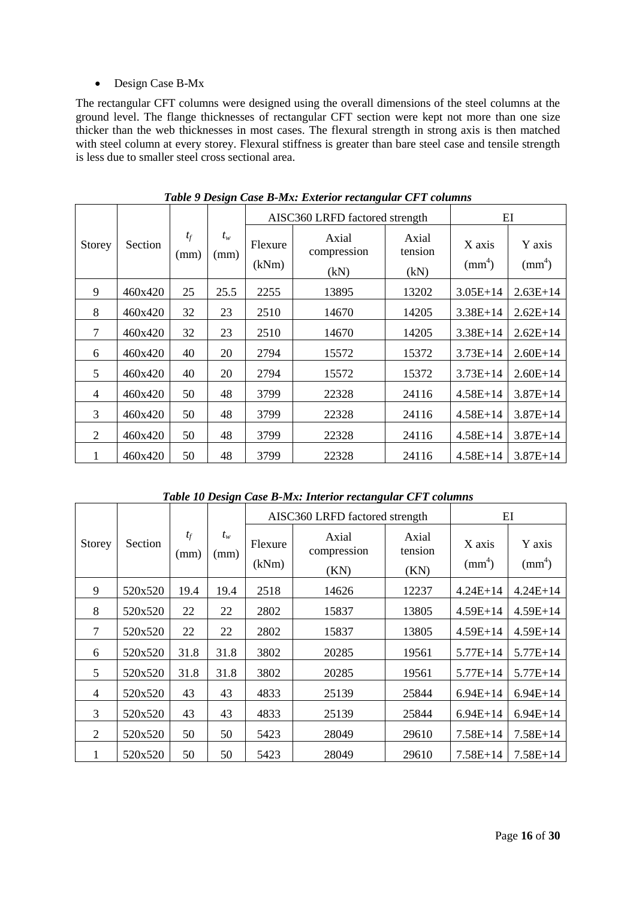## • Design Case B-Mx

The rectangular CFT columns were designed using the overall dimensions of the steel columns at the ground level. The flange thicknesses of rectangular CFT section were kept not more than one size thicker than the web thicknesses in most cases. The flexural strength in strong axis is then matched with steel column at every storey. Flexural stiffness is greater than bare steel case and tensile strength is less due to smaller steel cross sectional area.

|                |         |               |               |                  | AISC360 LRFD factored strength |                          |                           | EI                     |
|----------------|---------|---------------|---------------|------------------|--------------------------------|--------------------------|---------------------------|------------------------|
| Storey         | Section | $t_f$<br>(mm) | $t_w$<br>(mm) | Flexure<br>(kNm) | Axial<br>compression<br>(kN)   | Axial<br>tension<br>(kN) | X axis<br>$\text{mm}^4$ ) | Y axis<br>$\text{m}^4$ |
| 9              | 460x420 | 25            | 25.5          | 2255             | 13895                          | 13202                    | $3.05E+14$                | $2.63E+14$             |
| 8              | 460x420 | 32            | 23            | 2510             | 14670                          | 14205                    | $3.38E + 14$              | $2.62E+14$             |
| 7              | 460x420 | 32            | 23            | 2510             | 14670                          | 14205                    | $3.38E+14$                | $2.62E+14$             |
| 6              | 460x420 | 40            | 20            | 2794             | 15572                          | 15372                    | $3.73E+14$                | $2.60E+14$             |
| 5              | 460x420 | 40            | 20            | 2794             | 15572                          | 15372                    | $3.73E+14$                | $2.60E+14$             |
| $\overline{4}$ | 460x420 | 50            | 48            | 3799             | 22328                          | 24116                    | $4.58E + 14$              | $3.87E+14$             |
| 3              | 460x420 | 50            | 48            | 3799             | 22328                          | 24116                    | $4.58E+14$                | $3.87E+14$             |
| 2              | 460x420 | 50            | 48            | 3799             | 22328                          | 24116                    | $4.58E+14$                | $3.87E + 14$           |
| 1              | 460x420 | 50            | 48            | 3799             | 22328                          | 24116                    | $4.58E+14$                | $3.87E+14$             |

*Table 9 Design Case B-Mx: Exterior rectangular CFT columns*

# *Table 10 Design Case B-Mx: Interior rectangular CFT columns*

|                |         |               |               |                  | AISC360 LRFD factored strength |                          |                           | EI                     |
|----------------|---------|---------------|---------------|------------------|--------------------------------|--------------------------|---------------------------|------------------------|
| Storey         | Section | $t_f$<br>(mm) | $t_w$<br>(mm) | Flexure<br>(kNm) | Axial<br>compression<br>(KN)   | Axial<br>tension<br>(KN) | X axis<br>$\text{mm}^4$ ) | Y axis<br>$\text{m}^4$ |
| 9              | 520x520 | 19.4          | 19.4          | 2518             | 14626                          | 12237                    | $4.24E + 14$              | $4.24E+14$             |
| 8              | 520x520 | 22            | 22            | 2802             | 15837                          | 13805                    | $4.59E+14$                | $4.59E+14$             |
| 7              | 520x520 | 22            | 22            | 2802             | 15837                          | 13805                    | $4.59E+14$                | $4.59E+14$             |
| 6              | 520x520 | 31.8          | 31.8          | 3802             | 20285                          | 19561                    | $5.77E + 14$              | $5.77E + 14$           |
| 5              | 520x520 | 31.8          | 31.8          | 3802             | 20285                          | 19561                    | $5.77E + 14$              | $5.77E + 14$           |
| $\overline{4}$ | 520x520 | 43            | 43            | 4833             | 25139                          | 25844                    | $6.94E+14$                | $6.94E+14$             |
| 3              | 520x520 | 43            | 43            | 4833             | 25139                          | 25844                    | $6.94E+14$                | $6.94E+14$             |
| $\overline{2}$ | 520x520 | 50            | 50            | 5423             | 28049                          | 29610                    | $7.58E+14$                | $7.58E+14$             |
| 1              | 520x520 | 50            | 50            | 5423             | 28049                          | 29610                    | $7.58E+14$                | $7.58E+14$             |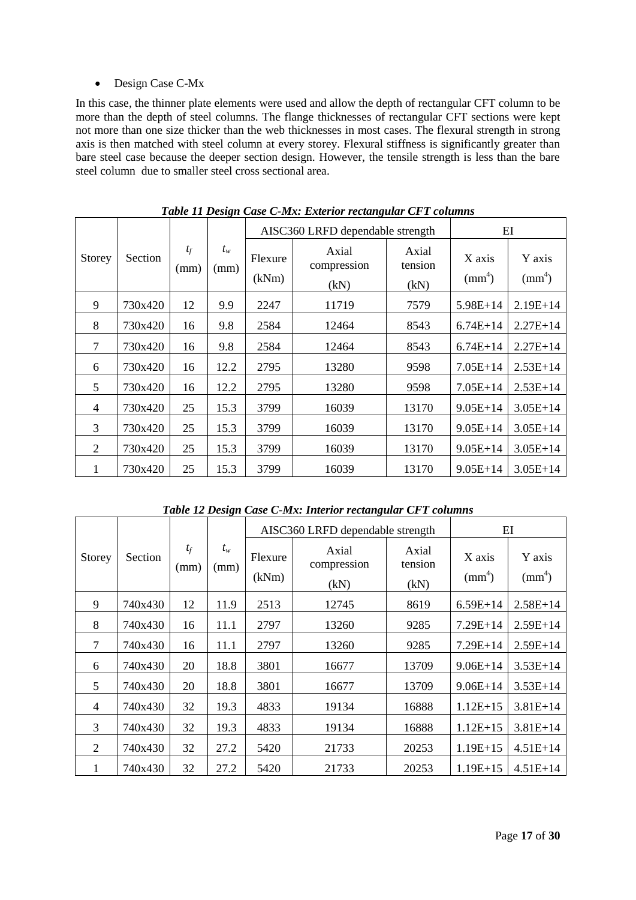### • Design Case C-Mx

In this case, the thinner plate elements were used and allow the depth of rectangular CFT column to be more than the depth of steel columns. The flange thicknesses of rectangular CFT sections were kept not more than one size thicker than the web thicknesses in most cases. The flexural strength in strong axis is then matched with steel column at every storey. Flexural stiffness is significantly greater than bare steel case because the deeper section design. However, the tensile strength is less than the bare steel column due to smaller steel cross sectional area.

|                |         |               |               | AISC360 LRFD dependable strength | $E$ I                        |                          |                           |                        |
|----------------|---------|---------------|---------------|----------------------------------|------------------------------|--------------------------|---------------------------|------------------------|
| <b>Storey</b>  | Section | $t_f$<br>(mm) | $t_w$<br>(mm) | Flexure<br>(kNm)                 | Axial<br>compression<br>(kN) | Axial<br>tension<br>(kN) | X axis<br>$\text{mm}^4$ ) | Y axis<br>$\text{m}^4$ |
| 9              | 730x420 | 12            | 9.9           | 2247                             | 11719                        | 7579                     | $5.98E+14$                | $2.19E+14$             |
| 8              | 730x420 | 16            | 9.8           | 2584                             | 12464                        | 8543                     | $6.74E+14$                | $2.27E+14$             |
| $\overline{7}$ | 730x420 | 16            | 9.8           | 2584                             | 12464                        | 8543                     | $6.74E+14$                | $2.27E+14$             |
| 6              | 730x420 | 16            | 12.2          | 2795                             | 13280                        | 9598                     | $7.05E+14$                | $2.53E+14$             |
| 5              | 730x420 | 16            | 12.2          | 2795                             | 13280                        | 9598                     | $7.05E+14$                | $2.53E+14$             |
| $\overline{4}$ | 730x420 | 25            | 15.3          | 3799                             | 16039                        | 13170                    | $9.05E+14$                | $3.05E+14$             |
| 3              | 730x420 | 25            | 15.3          | 3799                             | 16039                        | 13170                    | $9.05E+14$                | $3.05E+14$             |
| 2              | 730x420 | 25            | 15.3          | 3799                             | 16039                        | 13170                    | $9.05E+14$                | $3.05E+14$             |
| 1              | 730x420 | 25            | 15.3          | 3799                             | 16039                        | 13170                    | $9.05E+14$                | $3.05E+14$             |

*Table 11 Design Case C-Mx: Exterior rectangular CFT columns*

*Table 12 Design Case C-Mx: Interior rectangular CFT columns*

|                |         |               |               |                  | AISC360 LRFD dependable strength |                          |                           | EI                        |
|----------------|---------|---------------|---------------|------------------|----------------------------------|--------------------------|---------------------------|---------------------------|
| Storey         | Section | $t_f$<br>(mm) | $t_w$<br>(mm) | Flexure<br>(kNm) | Axial<br>compression<br>(kN)     | Axial<br>tension<br>(kN) | X axis<br>$\text{mm}^4$ ) | Y axis<br>$\text{mm}^4$ ) |
| 9              | 740x430 | 12            | 11.9          | 2513             | 12745                            | 8619                     | $6.59E+14$                | $2.58E+14$                |
| 8              | 740x430 | 16            | 11.1          | 2797             | 13260                            | 9285                     | $7.29E+14$                | $2.59E+14$                |
| 7              | 740x430 | 16            | 11.1          | 2797             | 13260                            | 9285                     | $7.29E+14$                | $2.59E+14$                |
| 6              | 740x430 | 20            | 18.8          | 3801             | 16677                            | 13709                    | $9.06E + 14$              | $3.53E+14$                |
| 5              | 740x430 | 20            | 18.8          | 3801             | 16677                            | 13709                    | $9.06E + 14$              | $3.53E+14$                |
| $\overline{4}$ | 740x430 | 32            | 19.3          | 4833             | 19134                            | 16888                    | $1.12E+15$                | $3.81E+14$                |
| 3              | 740x430 | 32            | 19.3          | 4833             | 19134                            | 16888                    | $1.12E+15$                | $3.81E+14$                |
| $\overline{2}$ | 740x430 | 32            | 27.2          | 5420             | 21733                            | 20253                    | $1.19E+15$                | $4.51E+14$                |
| 1              | 740x430 | 32            | 27.2          | 5420             | 21733                            | 20253                    | $1.19E+15$                | $4.51E+14$                |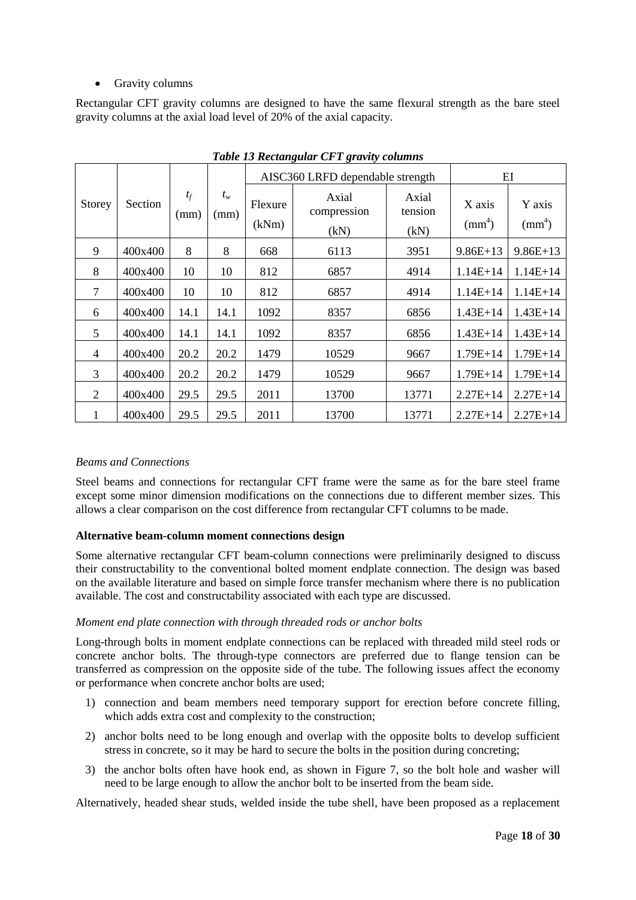## • Gravity columns

Rectangular CFT gravity columns are designed to have the same flexural strength as the bare steel gravity columns at the axial load level of 20% of the axial capacity.

|                |                |               |               | AISC360 LRFD dependable strength |                              |                          | EI                        |                        |
|----------------|----------------|---------------|---------------|----------------------------------|------------------------------|--------------------------|---------------------------|------------------------|
| Storey         | <b>Section</b> | $t_f$<br>(mm) | $t_w$<br>(mm) | Flexure<br>(kNm)                 | Axial<br>compression<br>(kN) | Axial<br>tension<br>(kN) | X axis<br>$\text{mm}^4$ ) | Y axis<br>$\text{m}^4$ |
| 9              | 400x400        | 8             | 8             | 668                              | 6113                         | 3951                     | $9.86E+13$                | $9.86E+13$             |
| 8              | 400x400        | 10            | 10            | 812                              | 6857                         | 4914                     | $1.14E+14$                | $1.14E+14$             |
| $\overline{7}$ | 400x400        | 10            | 10            | 812                              | 6857                         | 4914                     | $1.14E+14$                | $1.14E+14$             |
| 6              | 400x400        | 14.1          | 14.1          | 1092                             | 8357                         | 6856                     | $1.43E+14$                | $1.43E+14$             |
| 5              | 400x400        | 14.1          | 14.1          | 1092                             | 8357                         | 6856                     | $1.43E+14$                | $1.43E+14$             |
| $\overline{4}$ | 400x400        | 20.2          | 20.2          | 1479                             | 10529                        | 9667                     | $1.79E + 14$              | $1.79E+14$             |
| 3              | 400x400        | 20.2          | 20.2          | 1479                             | 10529                        | 9667                     | $1.79E + 14$              | $1.79E + 14$           |
| $\overline{2}$ | 400x400        | 29.5          | 29.5          | 2011                             | 13700                        | 13771                    | $2.27E+14$                | $2.27E+14$             |
| 1              | 400x400        | 29.5          | 29.5          | 2011                             | 13700                        | 13771                    | $2.27E+14$                | $2.27E+14$             |

*Table 13 Rectangular CFT gravity columns*

### *Beams and Connections*

Steel beams and connections for rectangular CFT frame were the same as for the bare steel frame except some minor dimension modifications on the connections due to different member sizes. This allows a clear comparison on the cost difference from rectangular CFT columns to be made.

### **Alternative beam-column moment connections design**

Some alternative rectangular CFT beam-column connections were preliminarily designed to discuss their constructability to the conventional bolted moment endplate connection. The design was based on the available literature and based on simple force transfer mechanism where there is no publication available. The cost and constructability associated with each type are discussed.

### *Moment end plate connection with through threaded rods or anchor bolts*

Long-through bolts in moment endplate connections can be replaced with threaded mild steel rods or concrete anchor bolts. The through-type connectors are preferred due to flange tension can be transferred as compression on the opposite side of the tube. The following issues affect the economy or performance when concrete anchor bolts are used;

- 1) connection and beam members need temporary support for erection before concrete filling, which adds extra cost and complexity to the construction;
- 2) anchor bolts need to be long enough and overlap with the opposite bolts to develop sufficient stress in concrete, so it may be hard to secure the bolts in the position during concreting;
- 3) the anchor bolts often have hook end, as shown in Figure 7, so the bolt hole and washer will need to be large enough to allow the anchor bolt to be inserted from the beam side.

Alternatively, headed shear studs, welded inside the tube shell, have been proposed as a replacement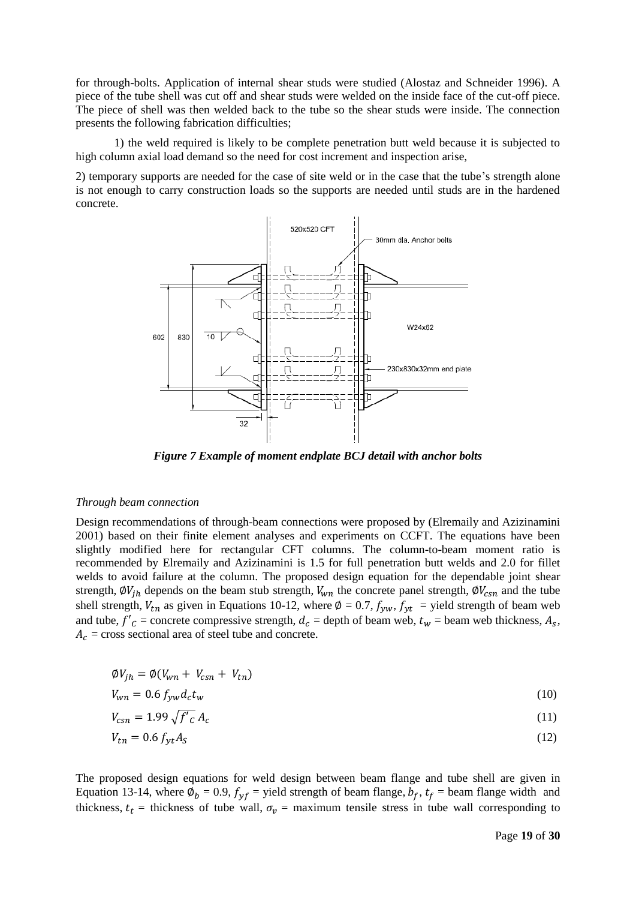for through-bolts. Application of internal shear studs were studied [\(Alostaz and Schneider 1996\)](#page-29-10). A piece of the tube shell was cut off and shear studs were welded on the inside face of the cut-off piece. The piece of shell was then welded back to the tube so the shear studs were inside. The connection presents the following fabrication difficulties;

1) the weld required is likely to be complete penetration butt weld because it is subjected to high column axial load demand so the need for cost increment and inspection arise,

2) temporary supports are needed for the case of site weld or in the case that the tube's strength alone is not enough to carry construction loads so the supports are needed until studs are in the hardened concrete.



*Figure 7 Example of moment endplate BCJ detail with anchor bolts*

#### *Through beam connection*

Design recommendations of through-beam connections were proposed by [\(Elremaily and Azizinamini](#page-29-2)  [2001\)](#page-29-2) based on their finite element analyses and experiments on CCFT. The equations have been slightly modified here for rectangular CFT columns. The column-to-beam moment ratio is recommended by [Elremaily and Azizinamini i](#page-29-8)s 1.5 for full penetration butt welds and 2.0 for fillet welds to avoid failure at the column. The proposed design equation for the dependable joint shear strength,  $\phi V_{ih}$  depends on the beam stub strength,  $V_{wn}$  the concrete panel strength,  $\phi V_{csn}$  and the tube shell strength,  $V_{tn}$  as given in Equations 10-12, where  $\phi = 0.7$ ,  $f_{yw}$ ,  $f_{yt}$  = yield strength of beam web and tube,  $f'_{c}$  = concrete compressive strength,  $d_{c}$  = depth of beam web,  $t_{w}$  = beam web thickness,  $A_{s}$ ,  $A_c$  = cross sectional area of steel tube and concrete.

$$
\phi V_{jh} = \phi (V_{wn} + V_{csn} + V_{tn})
$$

$$
V_{wn} = 0.6 f_{yw} d_c t_w \tag{10}
$$

$$
V_{csn} = 1.99 \sqrt{f'}_c A_c \tag{11}
$$

$$
V_{tn} = 0.6 f_{yt} A_S \tag{12}
$$

The proposed design equations for weld design between beam flange and tube shell are given in Equation 13-14, where  $\phi_b = 0.9$ ,  $f_{yf}$  = yield strength of beam flange,  $b_f$ ,  $t_f$  = beam flange width and thickness,  $t_t$  = thickness of tube wall,  $\sigma_v$  = maximum tensile stress in tube wall corresponding to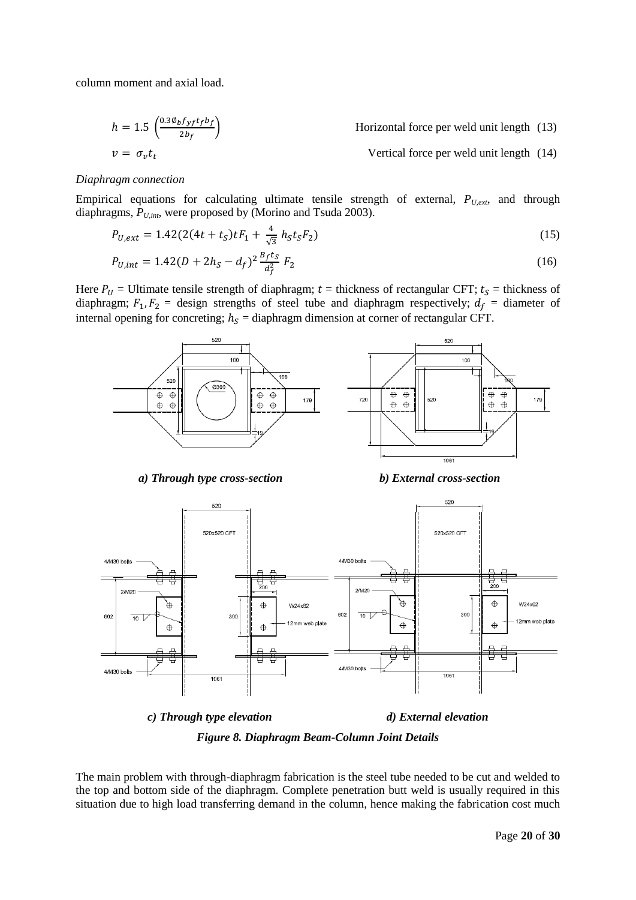column moment and axial load.

$$
h = 1.5 \left( \frac{0.3 \phi_b f_{yf} t_f b_f}{2 b_f} \right)
$$
 Horizontal force per well unit length (13)  

$$
v = \sigma_v t_t
$$
Vertical force per well unit length (14)

#### *Diaphragm connection*

Empirical equations for calculating ultimate tensile strength of external,  $P_{U,ext}$ , and through diaphragms, *PU,int*, were proposed by [\(Morino and Tsuda 2003\)](#page-29-1).

$$
P_{U,ext} = 1.42(2(4t + tS)tF1 + \frac{4}{\sqrt{3}}hStSF2)
$$
\n(15)

$$
P_{U,int} = 1.42(D + 2h_S - d_f)^2 \frac{B_f t_S}{d_f^2} F_2
$$
\n(16)

Here  $P_U$  = Ultimate tensile strength of diaphragm; t = thickness of rectangular CFT;  $t_s$  = thickness of diaphragm;  $F_1, F_2$  = design strengths of steel tube and diaphragm respectively;  $d_f$  = diameter of internal opening for concreting;  $h_s =$  diaphragm dimension at corner of rectangular CFT.



*a) Through type cross-section b) External cross-section* 



*Figure 8. Diaphragm Beam-Column Joint Details*

The main problem with through-diaphragm fabrication is the steel tube needed to be cut and welded to the top and bottom side of the diaphragm. Complete penetration butt weld is usually required in this situation due to high load transferring demand in the column, hence making the fabrication cost much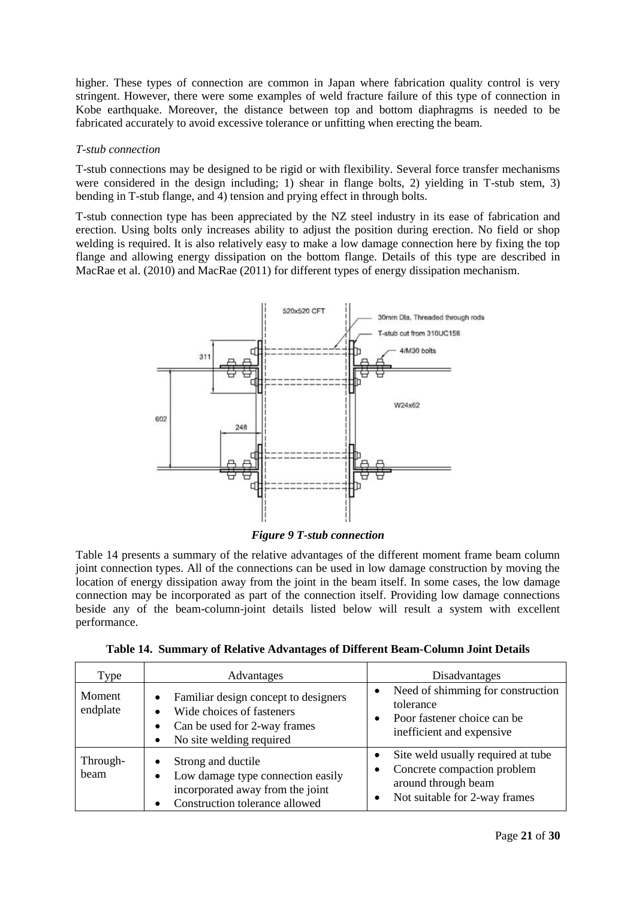higher. These types of connection are common in Japan where fabrication quality control is very stringent. However, there were some examples of weld fracture failure of this type of connection in Kobe earthquake. Moreover, the distance between top and bottom diaphragms is needed to be fabricated accurately to avoid excessive tolerance or unfitting when erecting the beam.

#### *T-stub connection*

T-stub connections may be designed to be rigid or with flexibility. Several force transfer mechanisms were considered in the design including; 1) shear in flange bolts, 2) yielding in T-stub stem, 3) bending in T-stub flange, and 4) tension and prying effect in through bolts.

T-stub connection type has been appreciated by the NZ steel industry in its ease of fabrication and erection. Using bolts only increases ability to adjust the position during erection. No field or shop welding is required. It is also relatively easy to make a low damage connection here by fixing the top flange and allowing energy dissipation on the bottom flange. Details of this type are described in MacRae et al. (2010) and MacRae (2011) for different types of energy dissipation mechanism.



*Figure 9 T-stub connection*

Table 14 presents a summary of the relative advantages of the different moment frame beam column joint connection types. All of the connections can be used in low damage construction by moving the location of energy dissipation away from the joint in the beam itself. In some cases, the low damage connection may be incorporated as part of the connection itself. Providing low damage connections beside any of the beam-column-joint details listed below will result a system with excellent performance.

|  |  |  | <b>Table 14. Summary of Relative Advantages of Different Beam-Column Joint Details</b> |  |  |  |  |  |
|--|--|--|----------------------------------------------------------------------------------------|--|--|--|--|--|
|--|--|--|----------------------------------------------------------------------------------------|--|--|--|--|--|

| Type               | Advantages                                                                                                                                              | Disadvantages                                                                                                             |
|--------------------|---------------------------------------------------------------------------------------------------------------------------------------------------------|---------------------------------------------------------------------------------------------------------------------------|
| Moment<br>endplate | Familiar design concept to designers<br>$\bullet$<br>Wide choices of fasteners<br>Can be used for 2-way frames<br>No site welding required<br>$\bullet$ | Need of shimming for construction<br>tolerance<br>Poor fastener choice can be<br>inefficient and expensive                |
| Through-<br>beam   | Strong and ductile<br>Low damage type connection easily<br>$\bullet$<br>incorporated away from the joint<br>Construction tolerance allowed              | Site weld usually required at tube<br>Concrete compaction problem<br>around through beam<br>Not suitable for 2-way frames |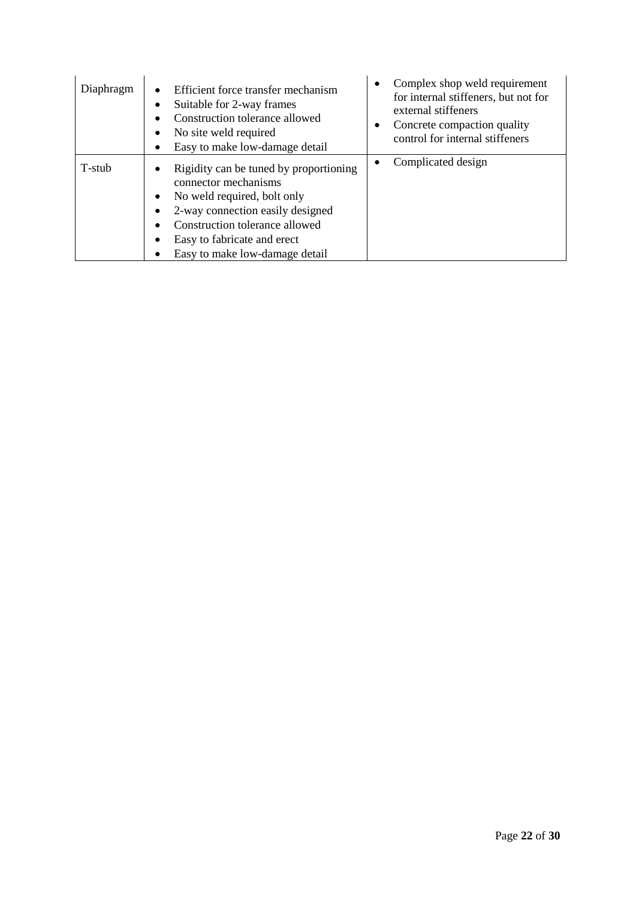| Diaphragm | Efficient force transfer mechanism<br>$\bullet$<br>Suitable for 2-way frames<br>٠<br>Construction tolerance allowed<br>No site weld required<br>٠<br>Easy to make low-damage detail                                                                              | Complex shop weld requirement<br>$\bullet$<br>for internal stiffeners, but not for<br>external stiffeners<br>Concrete compaction quality<br>$\bullet$<br>control for internal stiffeners |
|-----------|------------------------------------------------------------------------------------------------------------------------------------------------------------------------------------------------------------------------------------------------------------------|------------------------------------------------------------------------------------------------------------------------------------------------------------------------------------------|
| T-stub    | Rigidity can be tuned by proportioning<br>٠<br>connector mechanisms<br>No weld required, bolt only<br>$\bullet$<br>2-way connection easily designed<br>٠<br>Construction tolerance allowed<br>٠<br>Easy to fabricate and erect<br>Easy to make low-damage detail | Complicated design                                                                                                                                                                       |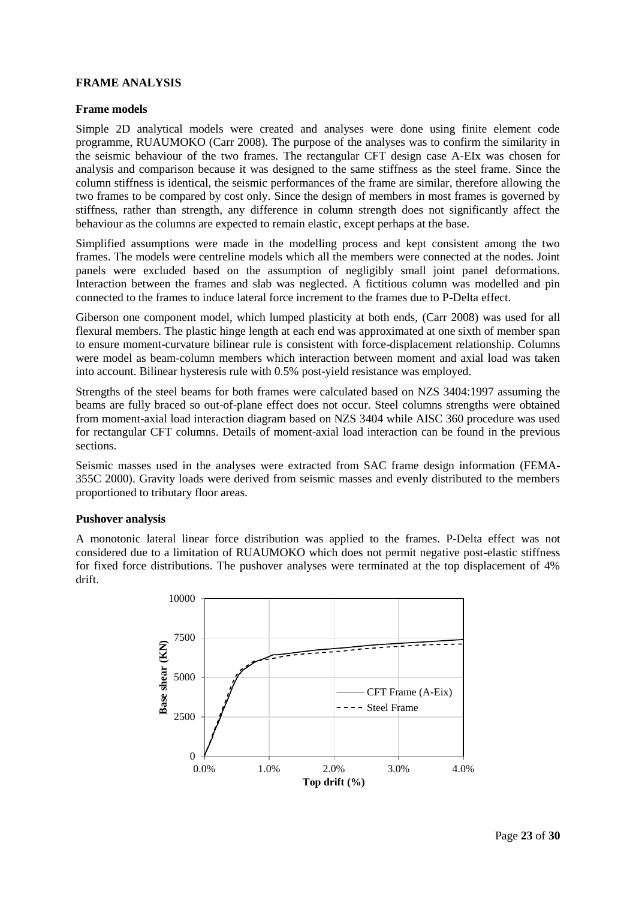### **FRAME ANALYSIS**

#### **Frame models**

Simple 2D analytical models were created and analyses were done using finite element code programme, RUAUMOKO [\(Carr 2008\)](#page-29-11). The purpose of the analyses was to confirm the similarity in the seismic behaviour of the two frames. The rectangular CFT design case A-EIx was chosen for analysis and comparison because it was designed to the same stiffness as the steel frame. Since the column stiffness is identical, the seismic performances of the frame are similar, therefore allowing the two frames to be compared by cost only. Since the design of members in most frames is governed by stiffness, rather than strength, any difference in column strength does not significantly affect the behaviour as the columns are expected to remain elastic, except perhaps at the base.

Simplified assumptions were made in the modelling process and kept consistent among the two frames. The models were centreline models which all the members were connected at the nodes. Joint panels were excluded based on the assumption of negligibly small joint panel deformations. Interaction between the frames and slab was neglected. A fictitious column was modelled and pin connected to the frames to induce lateral force increment to the frames due to P-Delta effect.

Giberson one component model, which lumped plasticity at both ends, [\(Carr 2008\)](#page-29-11) was used for all flexural members. The plastic hinge length at each end was approximated at one sixth of member span to ensure moment-curvature bilinear rule is consistent with force-displacement relationship. Columns were model as beam-column members which interaction between moment and axial load was taken into account. Bilinear hysteresis rule with 0.5% post-yield resistance was employed.

Strengths of the steel beams for both frames were calculated based on NZS 3404:1997 assuming the beams are fully braced so out-of-plane effect does not occur. Steel columns strengths were obtained from moment-axial load interaction diagram based on NZS 3404 while AISC 360 procedure was used for rectangular CFT columns. Details of moment-axial load interaction can be found in the previous sections.

Seismic masses used in the analyses were extracted from SAC frame design information [\(FEMA-](#page-29-7)[355C 2000\)](#page-29-7). Gravity loads were derived from seismic masses and evenly distributed to the members proportioned to tributary floor areas.

### **Pushover analysis**

A monotonic lateral linear force distribution was applied to the frames. P-Delta effect was not considered due to a limitation of RUAUMOKO which does not permit negative post-elastic stiffness for fixed force distributions. The pushover analyses were terminated at the top displacement of 4% drift.

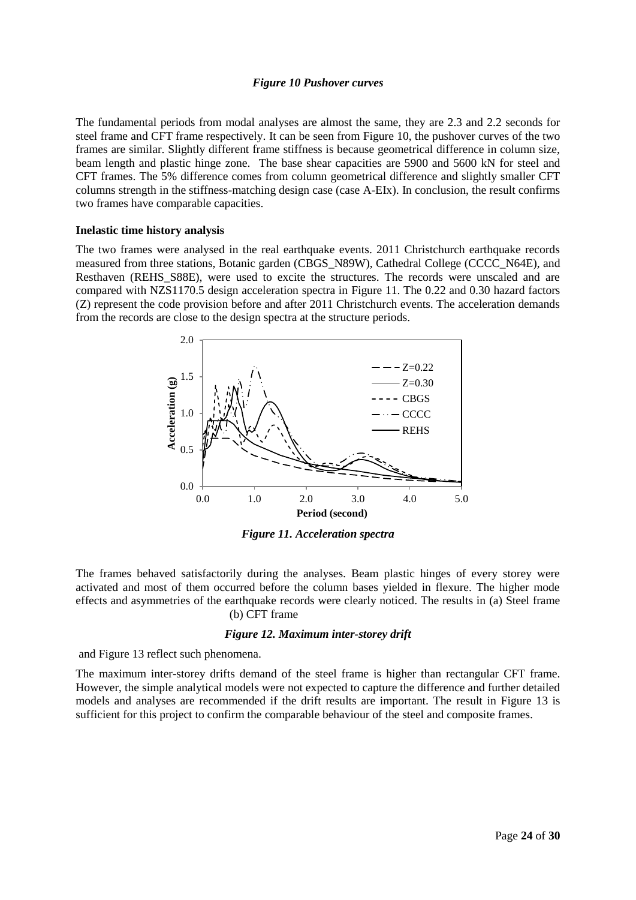#### *Figure 10 Pushover curves*

<span id="page-23-0"></span>The fundamental periods from modal analyses are almost the same, they are 2.3 and 2.2 seconds for steel frame and CFT frame respectively. It can be seen from [Figure 10,](#page-23-0) the pushover curves of the two frames are similar. Slightly different frame stiffness is because geometrical difference in column size, beam length and plastic hinge zone. The base shear capacities are 5900 and 5600 kN for steel and CFT frames. The 5% difference comes from column geometrical difference and slightly smaller CFT columns strength in the stiffness-matching design case (case A-EIx). In conclusion, the result confirms two frames have comparable capacities.

#### **Inelastic time history analysis**

The two frames were analysed in the real earthquake events. 2011 Christchurch earthquake records measured from three stations, Botanic garden (CBGS\_N89W), Cathedral College (CCCC\_N64E), and Resthaven (REHS S88E), were used to excite the structures. The records were unscaled and are compared with NZS1170.5 design acceleration spectra in [Figure 11.](#page-23-1) The 0.22 and 0.30 hazard factors (Z) represent the code provision before and after 2011 Christchurch events. The acceleration demands from the records are close to the design spectra at the structure periods.



*Figure 11. Acceleration spectra*

<span id="page-23-1"></span>The frames behaved satisfactorily during the analyses. Beam plastic hinges of every storey were activated and most of them occurred before the column bases yielded in flexure. The higher mode effects and asymmetries of the earthquake records were clearly noticed. The results in (a) [Steel frame](#page-24-0) [\(b\) CFT frame](#page-24-0)

### *Figure 12. [Maximum inter-storey drift](#page-24-0)*

and [Figure 13](#page-24-1) reflect such phenomena.

The maximum inter-storey drifts demand of the steel frame is higher than rectangular CFT frame. However, the simple analytical models were not expected to capture the difference and further detailed models and analyses are recommended if the drift results are important. The result in [Figure 13](#page-24-1) is sufficient for this project to confirm the comparable behaviour of the steel and composite frames.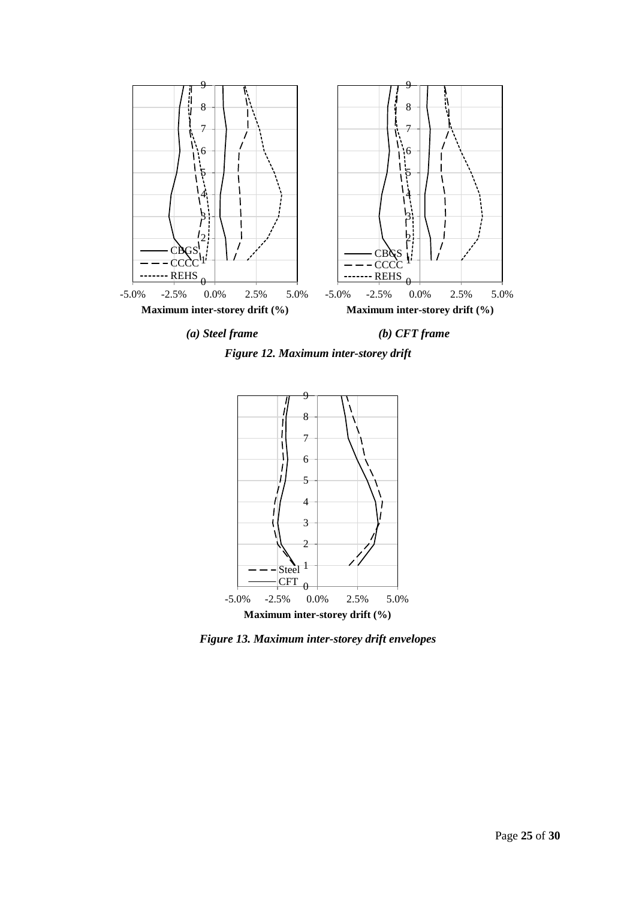

<span id="page-24-0"></span>



<span id="page-24-1"></span>*Figure 13. Maximum inter-storey drift envelopes*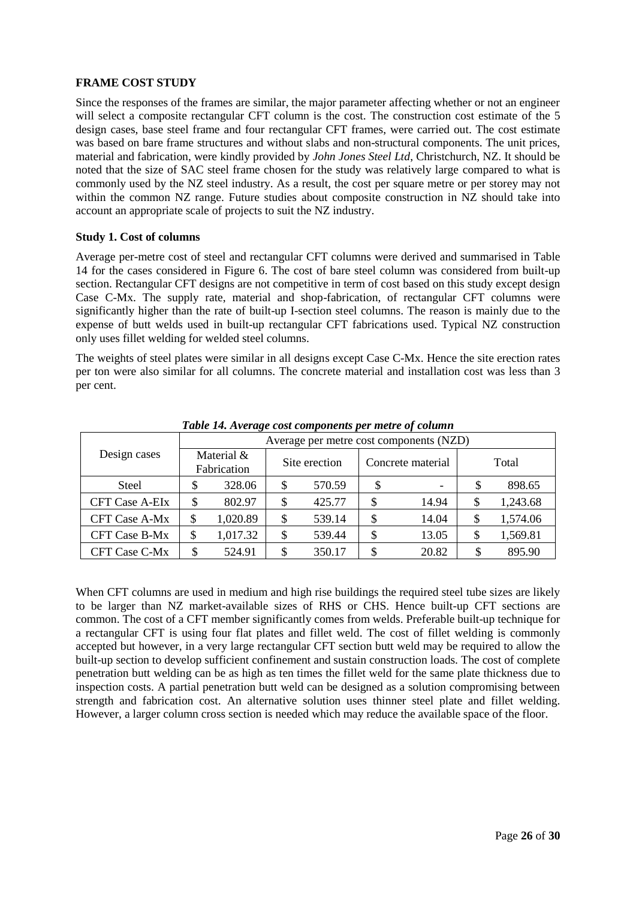### **FRAME COST STUDY**

Since the responses of the frames are similar, the major parameter affecting whether or not an engineer will select a composite rectangular CFT column is the cost. The construction cost estimate of the 5 design cases, base steel frame and four rectangular CFT frames, were carried out. The cost estimate was based on bare frame structures and without slabs and non-structural components. The unit prices, material and fabrication, were kindly provided by *John Jones Steel Ltd*, Christchurch, NZ. It should be noted that the size of SAC steel frame chosen for the study was relatively large compared to what is commonly used by the NZ steel industry. As a result, the cost per square metre or per storey may not within the common NZ range. Future studies about composite construction in NZ should take into account an appropriate scale of projects to suit the NZ industry.

### **Study 1. Cost of columns**

Average per-metre cost of steel and rectangular CFT columns were derived and summarised in [Table](#page-25-0)  [14](#page-25-0) for the cases considered in [Figure 6.](#page-12-0) The cost of bare steel column was considered from built-up section. Rectangular CFT designs are not competitive in term of cost based on this study except design Case C-Mx. The supply rate, material and shop-fabrication, of rectangular CFT columns were significantly higher than the rate of built-up I-section steel columns. The reason is mainly due to the expense of butt welds used in built-up rectangular CFT fabrications used. Typical NZ construction only uses fillet welding for welded steel columns.

The weights of steel plates were similar in all designs except Case C-Mx. Hence the site erection rates per ton were also similar for all columns. The concrete material and installation cost was less than 3 per cent.

<span id="page-25-0"></span>

|                       |                           | Average per metre cost components (NZD) |               |        |                   |       |       |          |  |
|-----------------------|---------------------------|-----------------------------------------|---------------|--------|-------------------|-------|-------|----------|--|
| Design cases          | Material &<br>Fabrication |                                         | Site erection |        | Concrete material |       | Total |          |  |
| <b>Steel</b>          | \$                        | 328.06                                  | \$            | 570.59 | \$                |       | \$    | 898.65   |  |
| <b>CFT Case A-EIx</b> | \$                        | 802.97                                  | \$            | 425.77 | \$                | 14.94 | \$    | 1,243.68 |  |
| <b>CFT Case A-Mx</b>  | \$                        | 1,020.89                                | \$            | 539.14 | \$                | 14.04 | \$    | 1,574.06 |  |
| <b>CFT Case B-Mx</b>  | \$                        | 1,017.32                                | \$            | 539.44 | \$                | 13.05 | \$    | 1,569.81 |  |
| CFT Case C-Mx         | \$                        | 524.91                                  | \$            | 350.17 | \$                | 20.82 | \$    | 895.90   |  |

*Table 14. Average cost components per metre of column*

When CFT columns are used in medium and high rise buildings the required steel tube sizes are likely to be larger than NZ market-available sizes of RHS or CHS. Hence built-up CFT sections are common. The cost of a CFT member significantly comes from welds. Preferable built-up technique for a rectangular CFT is using four flat plates and fillet weld. The cost of fillet welding is commonly accepted but however, in a very large rectangular CFT section butt weld may be required to allow the built-up section to develop sufficient confinement and sustain construction loads. The cost of complete penetration butt welding can be as high as ten times the fillet weld for the same plate thickness due to inspection costs. A partial penetration butt weld can be designed as a solution compromising between strength and fabrication cost. An alternative solution uses thinner steel plate and fillet welding. However, a larger column cross section is needed which may reduce the available space of the floor.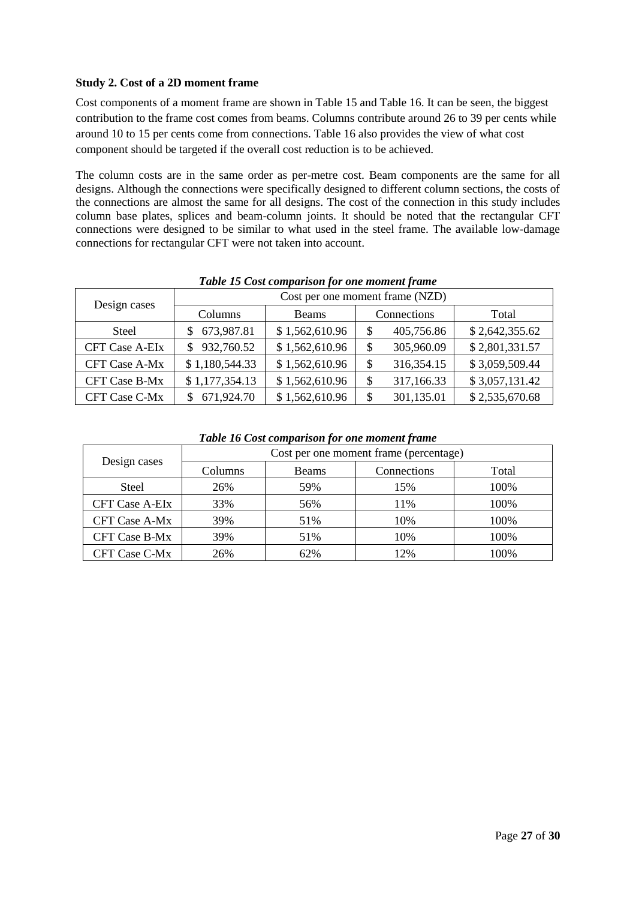### **Study 2. Cost of a 2D moment frame**

Cost components of a moment frame are shown in [Table 15](#page-26-0) and [Table 16.](#page-26-1) It can be seen, the biggest contribution to the frame cost comes from beams. Columns contribute around 26 to 39 per cents while around 10 to 15 per cents come from connections. [Table 16](#page-26-1) also provides the view of what cost component should be targeted if the overall cost reduction is to be achieved.

The column costs are in the same order as per-metre cost. Beam components are the same for all designs. Although the connections were specifically designed to different column sections, the costs of the connections are almost the same for all designs. The cost of the connection in this study includes column base plates, splices and beam-column joints. It should be noted that the rectangular CFT connections were designed to be similar to what used in the steel frame. The available low-damage connections for rectangular CFT were not taken into account.

<span id="page-26-0"></span>

| Twore To Cost comparison for one moment frame |                                 |                |             |              |                |  |  |  |
|-----------------------------------------------|---------------------------------|----------------|-------------|--------------|----------------|--|--|--|
|                                               | Cost per one moment frame (NZD) |                |             |              |                |  |  |  |
| Design cases                                  | Columns                         | Beams          | Connections |              | Total          |  |  |  |
| Steel                                         | 673,987.81<br>S.                | \$1,562,610.96 | \$          | 405,756.86   | \$2,642,355.62 |  |  |  |
| <b>CFT Case A-EIx</b>                         | 932,760.52                      | \$1,562,610.96 | \$          | 305,960.09   | \$2,801,331.57 |  |  |  |
| <b>CFT Case A-Mx</b>                          | \$1,180,544.33                  | \$1,562,610.96 | \$          | 316, 354. 15 | \$3,059,509.44 |  |  |  |
| <b>CFT Case B-Mx</b>                          | \$1,177,354.13                  | \$1,562,610.96 | \$          | 317,166.33   | \$3,057,131.42 |  |  |  |
| <b>CFT Case C-Mx</b>                          | 671,924.70                      | \$1,562,610.96 | \$          | 301,135.01   | \$2,535,670.68 |  |  |  |

# *Table 15 Cost comparison for one moment frame*

### *Table 16 Cost comparison for one moment frame*

<span id="page-26-1"></span>

|                       | Cost per one moment frame (percentage) |              |             |       |  |  |
|-----------------------|----------------------------------------|--------------|-------------|-------|--|--|
| Design cases          | Columns                                | <b>Beams</b> | Connections | Total |  |  |
| Steel                 | 26%                                    | 59%          | 15%         | 100%  |  |  |
| <b>CFT Case A-EIx</b> | 33%                                    | 56%          | 11%         | 100%  |  |  |
| <b>CFT Case A-Mx</b>  | 39%                                    | 51%          | 10%         | 100%  |  |  |
| <b>CFT Case B-Mx</b>  | 39%                                    | 51%          | 10%         | 100%  |  |  |
| <b>CFT Case C-Mx</b>  | 26%                                    | 62%          | 12%         | 100%  |  |  |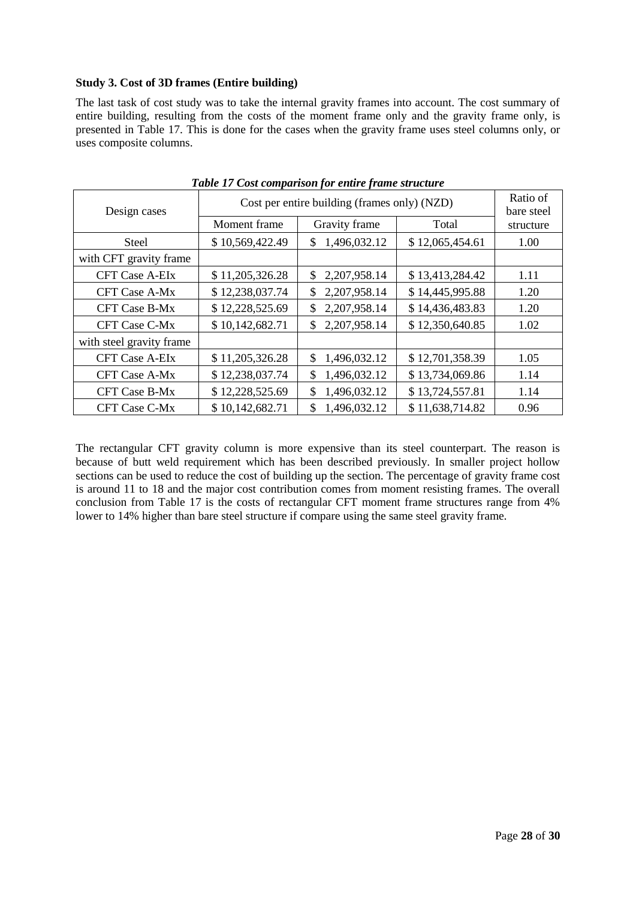### **Study 3. Cost of 3D frames (Entire building)**

The last task of cost study was to take the internal gravity frames into account. The cost summary of entire building, resulting from the costs of the moment frame only and the gravity frame only, is presented in [Table 17.](#page-27-0) This is done for the cases when the gravity frame uses steel columns only, or uses composite columns.

<span id="page-27-0"></span>

| Design cases             | Cost per entire building (frames only) (NZD) | Ratio of<br>bare steel |                 |           |
|--------------------------|----------------------------------------------|------------------------|-----------------|-----------|
|                          | Moment frame                                 | Gravity frame          | Total           | structure |
| <b>Steel</b>             | \$10,569,422.49                              | 1,496,032.12<br>\$     | \$12,065,454.61 | 1.00      |
| with CFT gravity frame   |                                              |                        |                 |           |
| <b>CFT Case A-EIx</b>    | \$11,205,326.28                              | \$<br>2,207,958.14     | \$13,413,284.42 | 1.11      |
| <b>CFT Case A-Mx</b>     | \$12,238,037.74                              | 2,207,958.14<br>\$     | \$14,445,995.88 | 1.20      |
| <b>CFT Case B-Mx</b>     | \$12,228,525.69                              | 2,207,958.14<br>\$     | \$14,436,483.83 | 1.20      |
| <b>CFT Case C-Mx</b>     | \$10,142,682.71                              | 2,207,958.14<br>\$.    | \$12,350,640.85 | 1.02      |
| with steel gravity frame |                                              |                        |                 |           |
| <b>CFT Case A-EIx</b>    | \$11,205,326.28                              | 1,496,032.12<br>\$.    | \$12,701,358.39 | 1.05      |
| <b>CFT Case A-Mx</b>     | \$12,238,037.74                              | 1,496,032.12<br>\$     | \$13,734,069.86 | 1.14      |
| <b>CFT Case B-Mx</b>     | \$12,228,525.69                              | 1,496,032.12<br>\$     | \$13,724,557.81 | 1.14      |
| CFT Case C-Mx            | \$10,142,682.71                              | 1,496,032.12<br>\$     | \$11,638,714.82 | 0.96      |

*Table 17 Cost comparison for entire frame structure*

The rectangular CFT gravity column is more expensive than its steel counterpart. The reason is because of butt weld requirement which has been described previously. In smaller project hollow sections can be used to reduce the cost of building up the section. The percentage of gravity frame cost is around 11 to 18 and the major cost contribution comes from moment resisting frames. The overall conclusion from [Table 17](#page-27-0) is the costs of rectangular CFT moment frame structures range from 4% lower to 14% higher than bare steel structure if compare using the same steel gravity frame.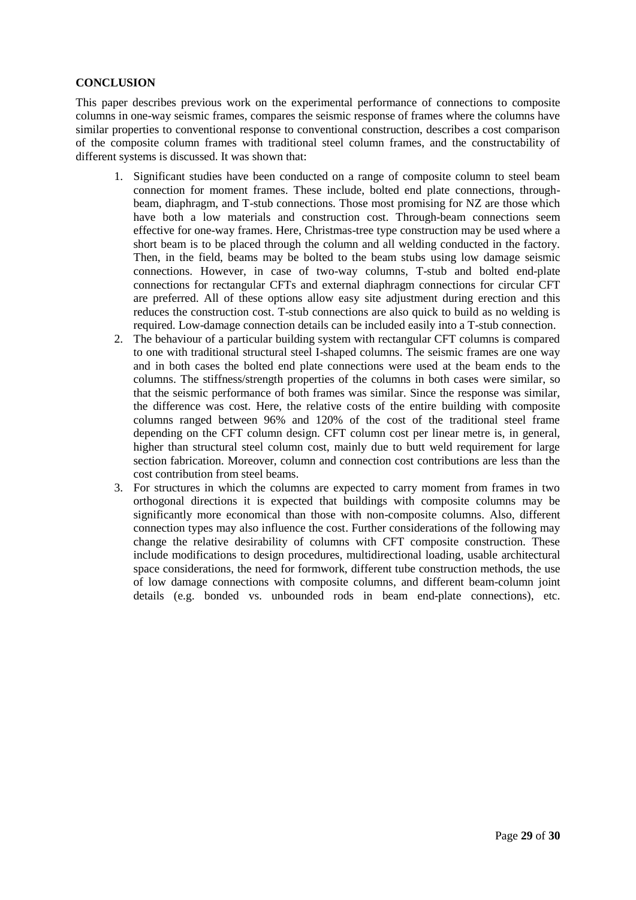### **CONCLUSION**

This paper describes previous work on the experimental performance of connections to composite columns in one-way seismic frames, compares the seismic response of frames where the columns have similar properties to conventional response to conventional construction, describes a cost comparison of the composite column frames with traditional steel column frames, and the constructability of different systems is discussed. It was shown that:

- 1. Significant studies have been conducted on a range of composite column to steel beam connection for moment frames. These include, bolted end plate connections, throughbeam, diaphragm, and T-stub connections. Those most promising for NZ are those which have both a low materials and construction cost. Through-beam connections seem effective for one-way frames. Here, Christmas-tree type construction may be used where a short beam is to be placed through the column and all welding conducted in the factory. Then, in the field, beams may be bolted to the beam stubs using low damage seismic connections. However, in case of two-way columns, T-stub and bolted end-plate connections for rectangular CFTs and external diaphragm connections for circular CFT are preferred. All of these options allow easy site adjustment during erection and this reduces the construction cost. T-stub connections are also quick to build as no welding is required. Low-damage connection details can be included easily into a T-stub connection.
- 2. The behaviour of a particular building system with rectangular CFT columns is compared to one with traditional structural steel I-shaped columns. The seismic frames are one way and in both cases the bolted end plate connections were used at the beam ends to the columns. The stiffness/strength properties of the columns in both cases were similar, so that the seismic performance of both frames was similar. Since the response was similar, the difference was cost. Here, the relative costs of the entire building with composite columns ranged between 96% and 120% of the cost of the traditional steel frame depending on the CFT column design. CFT column cost per linear metre is, in general, higher than structural steel column cost, mainly due to butt weld requirement for large section fabrication. Moreover, column and connection cost contributions are less than the cost contribution from steel beams.
- 3. For structures in which the columns are expected to carry moment from frames in two orthogonal directions it is expected that buildings with composite columns may be significantly more economical than those with non-composite columns. Also, different connection types may also influence the cost. Further considerations of the following may change the relative desirability of columns with CFT composite construction. These include modifications to design procedures, multidirectional loading, usable architectural space considerations, the need for formwork, different tube construction methods, the use of low damage connections with composite columns, and different beam-column joint details (e.g. bonded vs. unbounded rods in beam end-plate connections), etc.